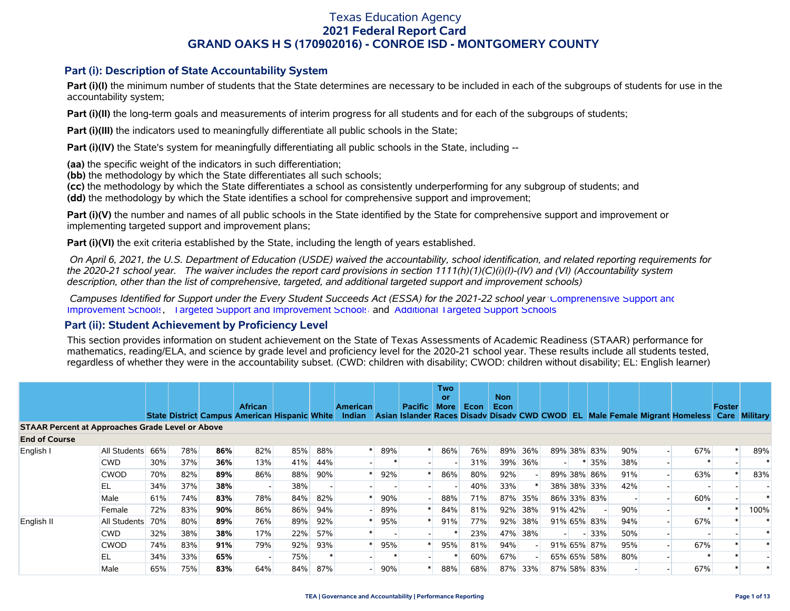### **Part (i): Description of State Accountability System**

Part (i)(I) the minimum number of students that the State determines are necessary to be included in each of the subgroups of students for use in the accountability system;

**Part (i)(II)** the long-term goals and measurements of interim progress for all students and for each of the subgroups of students;

**Part (i)(III)** the indicators used to meaningfully differentiate all public schools in the State;

**Part (i)(IV)** the State's system for meaningfully differentiating all public schools in the State, including --

**(aa)** the specific weight of the indicators in such differentiation;

**(bb)** the methodology by which the State differentiates all such schools;

**(cc)** the methodology by which the State differentiates a school as consistently underperforming for any subgroup of students; and

**(dd)** the methodology by which the State identifies a school for comprehensive support and improvement;

**Part (i)(V)** the number and names of all public schools in the State identified by the State for comprehensive support and improvement or implementing targeted support and improvement plans;

**Part (i)(VI)** the exit criteria established by the State, including the length of years established.

 *On April 6, 2021, the U.S. Department of Education (USDE) waived the accountability, school identification, and related reporting requirements for the 2020-21 school year. The waiver includes the report card provisions in section 1111(h)(1)(C)(i)(I)-(IV) and (VI) (Accountability system description, other than the list of comprehensive, targeted, and additional targeted support and improvement schools)* 

 *Campuses Identified for Support under the Every Student Succeeds Act (ESSA) for the 2021-22 school year:* [Comprehensive Support and](https://tea.texas.gov/sites/default/files/comprehensive_support_2021.xlsx) [Improvement Schools](https://tea.texas.gov/sites/default/files/comprehensive_support_2021.xlsx), [Targeted Support and Improvement Schools](https://tea.texas.gov/sites/default/files/targeted_support_2021.xlsx) and [Additional Targeted Support Schools.](https://tea.texas.gov/sites/default/files/additional_targeted_support_2021.xlsx)

### **Part (ii): Student Achievement by Proficiency Level**

This section provides information on student achievement on the State of Texas Assessments of Academic Readiness (STAAR) performance for mathematics, reading/ELA, and science by grade level and proficiency level for the 2020-21 school year. These results include all students tested, regardless of whether they were in the accountability subset. (CWD: children with disability; CWOD: children without disability; EL: English learner)

|                                                         |                  |     |     |     |                |                                                      |     |                           |     |                | <b>Two</b><br><b>or</b> |      | <b>Non</b>  |         |             |        |                                                                             |     |               |               |
|---------------------------------------------------------|------------------|-----|-----|-----|----------------|------------------------------------------------------|-----|---------------------------|-----|----------------|-------------------------|------|-------------|---------|-------------|--------|-----------------------------------------------------------------------------|-----|---------------|---------------|
|                                                         |                  |     |     |     | <b>African</b> | <b>State District Campus American Hispanic White</b> |     | American<br><b>Indian</b> |     | <b>Pacific</b> | <b>More</b>             | Econ | <b>Econ</b> |         |             |        | Asian Islander Races Disady Disady CWD CWOD EL Male Female Migrant Homeless |     | <b>Foster</b> | Care Military |
| <b>STAAR Percent at Approaches Grade Level or Above</b> |                  |     |     |     |                |                                                      |     |                           |     |                |                         |      |             |         |             |        |                                                                             |     |               |               |
| <b>End of Course</b>                                    |                  |     |     |     |                |                                                      |     |                           |     |                |                         |      |             |         |             |        |                                                                             |     |               |               |
| English I                                               | All Students     | 66% | 78% | 86% | 82%            | 85%                                                  | 88% |                           | 89% |                | 86%                     | 76%  | 89%         | 36%     | 89% 38% 83% |        | 90%                                                                         | 67% |               | 89%           |
|                                                         | <b>CWD</b>       | 30% | 37% | 36% | 13%            | 41%                                                  | 44% |                           |     |                |                         | 31%  | 39%         | 36%     |             | 35%    | 38%                                                                         |     |               |               |
|                                                         | <b>CWOD</b>      | 70% | 82% | 89% | 86%            | 88%                                                  | 90% |                           | 92% |                | 86%                     | 80%  | 92%         |         | 89% 38% 86% |        | 91%                                                                         | 63% |               | 83%           |
|                                                         | EL               | 34% | 37% | 38% |                | 38%                                                  |     |                           |     |                |                         | 40%  | 33%         |         | 38% 38% 33% |        | 42%                                                                         |     |               |               |
|                                                         | Male             | 61% | 74% | 83% | 78%            | 84%                                                  | 82% |                           | 90% |                | 88%                     | 71%  | 87%         | 35%     | 86% 33% 83% |        |                                                                             | 60% |               |               |
|                                                         | Female           | 72% | 83% | 90% | 86%            | 86%                                                  | 94% |                           | 89% |                | 84%                     | 81%  |             | 92% 38% | 91% 42%     |        | 90%                                                                         |     |               | 100%          |
| English II                                              | All Students 70% |     | 80% | 89% | 76%            | 89%                                                  | 92% |                           | 95% |                | 91%                     | 77%  |             | 92% 38% | 91% 65% 83% |        | 94%                                                                         | 67% |               |               |
|                                                         | <b>CWD</b>       | 32% | 38% | 38% | 17%            | 22%                                                  | 57% |                           |     |                |                         | 23%  | 47%         | 38%     |             | $-33%$ | 50%                                                                         |     |               |               |
|                                                         | <b>CWOD</b>      | 74% | 83% | 91% | 79%            | 92%                                                  | 93% |                           | 95% |                | 95%                     | 81%  | 94%         |         | 91% 65% 87% |        | 95%                                                                         | 67% |               |               |
|                                                         | ΕL               | 34% | 33% | 65% |                | 75%                                                  |     |                           |     |                |                         | 60%  | 67%         |         | 65% 65% 58% |        | 80%                                                                         |     |               |               |
|                                                         | Male             | 65% | 75% | 83% | 64%            | 84%                                                  | 87% |                           | 90% |                | 88%                     | 68%  | 87%         | 33%     | 87% 58% 83% |        |                                                                             | 67% |               |               |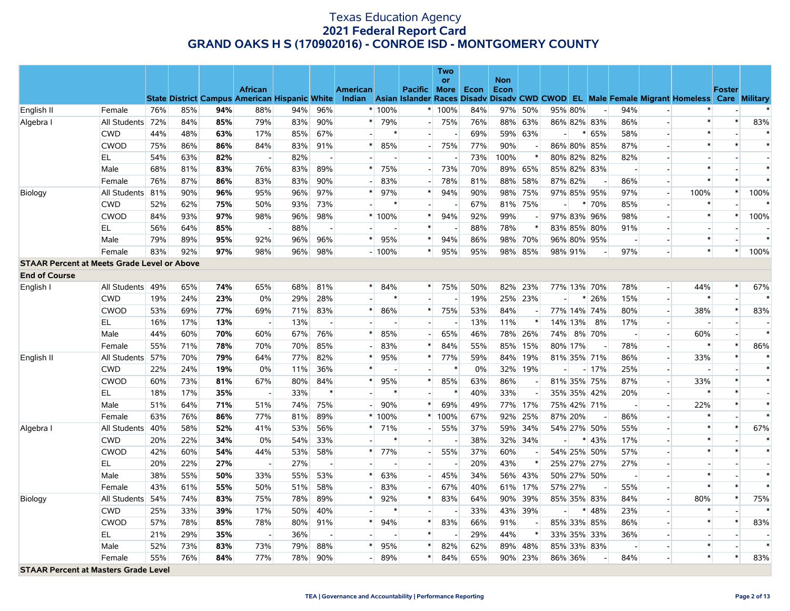|                                                    |                  |     |     |     |                                                      |     |                          |                 |         |                          | <b>Two</b><br><b>or</b> |     | <b>Non</b> |         |                          |             |                          |                                    |                                                                                           |               |                          |
|----------------------------------------------------|------------------|-----|-----|-----|------------------------------------------------------|-----|--------------------------|-----------------|---------|--------------------------|-------------------------|-----|------------|---------|--------------------------|-------------|--------------------------|------------------------------------|-------------------------------------------------------------------------------------------|---------------|--------------------------|
|                                                    |                  |     |     |     | <b>African</b>                                       |     |                          | <b>American</b> |         | Pacific More Econ        |                         |     | Econ       |         |                          |             |                          |                                    |                                                                                           | <b>Foster</b> |                          |
|                                                    |                  |     |     |     | <b>State District Campus American Hispanic White</b> |     |                          | Indian          |         |                          |                         |     |            |         |                          |             |                          |                                    | Asian Islander Races Disady Disady CWD CWOD EL Male Female Migrant Homeless Care Military |               |                          |
| English II                                         | Female           | 76% | 85% | 94% | 88%                                                  | 94% | 96%                      |                 | * 100%  |                          | * 100%                  | 84% |            | 97% 50% |                          | 95% 80%     | $\overline{\phantom{a}}$ | 94%<br>$\sim$                      |                                                                                           |               |                          |
| Algebra I                                          | All Students 72% |     | 84% | 85% | 79%                                                  | 83% | 90%                      |                 | 79%     | $\overline{a}$           | 75%                     | 76% |            | 88% 63% |                          | 86% 82% 83% |                          | 86%                                |                                                                                           | $\ast$        | 83%                      |
|                                                    | <b>CWD</b>       | 44% | 48% | 63% | 17%                                                  | 85% | 67%                      |                 | $\ast$  | $\overline{a}$           |                         | 69% |            | 59% 63% | $\overline{a}$           | $\ast$      | 65%                      | 58%<br>$\overline{a}$              | $\ast$                                                                                    |               | $\rightarrow$            |
|                                                    | <b>CWOD</b>      | 75% | 86% | 86% | 84%                                                  | 83% | 91%                      |                 | 85%     | $\blacksquare$           | 75%                     | 77% | 90%        |         |                          | 86% 80% 85% |                          | 87%                                | $\ast$                                                                                    | $\ast$        | $\ast$                   |
|                                                    | EL.              | 54% | 63% | 82% |                                                      | 82% |                          |                 |         | $\overline{a}$           |                         | 73% | 100%       | $\ast$  |                          | 80% 82% 82% |                          | 82%                                |                                                                                           |               |                          |
|                                                    | Male             | 68% | 81% | 83% | 76%                                                  | 83% | 89%                      | $\ast$          | 75%     | $\overline{a}$           | 73%                     | 70% |            | 89% 65% |                          | 85% 82% 83% |                          |                                    | $\ast$                                                                                    |               | $\ast$                   |
|                                                    | Female           | 76% | 87% | 86% | 83%                                                  | 83% | 90%                      |                 | 83%     |                          | 78%                     | 81% |            | 88% 58% |                          | 87% 82%     | 86%                      | $\overline{\phantom{a}}$           | $\ast$                                                                                    | $\ast$        | $\ast$                   |
| Biology                                            | All Students 81% |     | 90% | 96% | 95%                                                  | 96% | 97%                      |                 | 97%     | $\ast$                   | 94%                     | 90% |            | 98% 75% |                          | 97% 85% 95% |                          | 97%<br>$\mathcal{L}_{\mathcal{A}}$ | 100%                                                                                      | $\ast$        | 100%                     |
|                                                    | <b>CWD</b>       | 52% | 62% | 75% | 50%                                                  | 93% | 73%                      |                 |         | $\blacksquare$           |                         | 67% |            | 81% 75% | $\overline{a}$           | $\ast$      | 70%<br>85%               | $\sim$                             | $\ast$                                                                                    |               |                          |
|                                                    | <b>CWOD</b>      | 84% | 93% | 97% | 98%                                                  | 96% | 98%                      |                 | * 100%  | $\ast$                   | 94%                     | 92% | 99%        |         |                          | 97% 83%     | 96%                      | 98%<br>$\overline{\phantom{a}}$    | $\ast$                                                                                    | $\ast$        | 100%                     |
|                                                    | EL               | 56% | 64% | 85% |                                                      | 88% | $\overline{\phantom{a}}$ |                 |         | $\ast$                   |                         | 88% | 78%        | $\ast$  |                          | 83% 85%     | 80%                      | 91%                                |                                                                                           |               |                          |
|                                                    | Male             | 79% | 89% | 95% | 92%                                                  | 96% | 96%                      |                 | 95%     | $\ast$                   | 94%                     | 86% |            | 98% 70% |                          | 96% 80% 95% |                          |                                    | $\ast$                                                                                    |               | ×                        |
|                                                    | Female           | 83% | 92% | 97% | 98%                                                  | 96% | 98%                      |                 | $-100%$ | $\ast$                   | 95%                     | 95% |            | 98% 85% |                          | 98% 91%     |                          | 97%                                | $\ast$                                                                                    | $\ast$        | 100%                     |
| <b>STAAR Percent at Meets Grade Level or Above</b> |                  |     |     |     |                                                      |     |                          |                 |         |                          |                         |     |            |         |                          |             |                          |                                    |                                                                                           |               |                          |
| <b>End of Course</b>                               |                  |     |     |     |                                                      |     |                          |                 |         |                          |                         |     |            |         |                          |             |                          |                                    |                                                                                           |               |                          |
| English I                                          | All Students 49% |     | 65% | 74% | 65%                                                  | 68% | 81%                      |                 | 84%     | $\ast$                   | 75%                     | 50% |            | 82% 23% |                          | 77% 13% 70% | 78%                      | $\mathcal{L}_{\mathcal{A}}$        | 44%                                                                                       |               | 67%                      |
|                                                    | <b>CWD</b>       | 19% | 24% | 23% | 0%                                                   | 29% | 28%                      |                 | $\ast$  |                          |                         | 19% |            | 25% 23% |                          | $\ast$      | 26%                      | 15%                                | $\ast$                                                                                    |               |                          |
|                                                    | <b>CWOD</b>      | 53% | 69% | 77% | 69%                                                  | 71% | 83%                      | $\ast$          | 86%     | $\ast$                   | 75%                     | 53% | 84%        |         |                          | 77% 14% 74% |                          | 80%<br>$\mathbb{Z}^2$              | 38%                                                                                       | $\ast$        | 83%                      |
|                                                    | EL               | 16% | 17% | 13% |                                                      | 13% |                          |                 |         |                          |                         | 13% | 11%        |         |                          | 14% 13%     | 8%                       | 17%                                |                                                                                           |               |                          |
|                                                    | Male             | 44% | 60% | 70% | 60%                                                  | 67% | 76%                      |                 | 85%     |                          | 65%                     | 46% |            | 78% 26% |                          | 74% 8% 70%  |                          | $\sim$<br>$\overline{\phantom{a}}$ | 60%                                                                                       |               | $\ast$                   |
|                                                    | Female           | 55% | 71% | 78% | 70%                                                  | 70% | 85%                      |                 | 83%     | $\ast$                   | 84%                     | 55% |            | 85% 15% |                          | 80% 17%     | 78%                      | $\sim$                             | $\ast$                                                                                    | $\ast$        | 86%                      |
| English II                                         | All Students 57% |     | 70% | 79% | 64%                                                  | 77% | 82%                      |                 | 95%     | $\ast$                   | 77%                     | 59% |            | 84% 19% |                          | 81% 35% 71% |                          | 86%<br>$\sim$                      | 33%                                                                                       | $\ast$        | 4                        |
|                                                    | <b>CWD</b>       | 22% | 24% | 19% | 0%                                                   | 11% | 36%                      | $\ast$          |         |                          | $\ast$                  | 0%  |            | 32% 19% | $\overline{\phantom{a}}$ |             | $-17%$                   | 25%<br>$\Box$                      |                                                                                           |               | $\ast$                   |
|                                                    | <b>CWOD</b>      | 60% | 73% | 81% | 67%                                                  | 80% | 84%                      |                 | 95%     | $\ast$                   | 85%                     | 63% | 86%        |         |                          | 81% 35% 75% |                          | 87%<br>$\overline{\phantom{a}}$    | 33%                                                                                       | $\ast$        | $\ast$                   |
|                                                    | EL               | 18% | 17% | 35% |                                                      | 33% | $\ast$                   |                 | $\ast$  | $\overline{a}$           | $\ast$                  | 40% | 33%        |         |                          | 35% 35% 42% |                          | 20%                                | $\ast$                                                                                    | $\ast$        |                          |
|                                                    | Male             | 51% | 64% | 71% | 51%                                                  | 74% | 75%                      |                 | 90%     | $\ast$                   | 69%                     | 49% |            | 77% 17% |                          | 75% 42% 71% |                          | $\sim$                             | 22%                                                                                       | $\ast$        | $\ast$                   |
|                                                    | Female           | 63% | 76% | 86% | 77%                                                  | 81% | 89%                      |                 | $*100%$ | $\ast$                   | 100%                    | 67% |            | 92% 25% |                          | 87% 20%     | 86%                      |                                    | $\ast$                                                                                    |               | $\ast$                   |
| Algebra I                                          | All Students 40% |     | 58% | 52% | 41%                                                  | 53% | 56%                      |                 | 71%     | $\overline{\phantom{a}}$ | 55%                     | 37% |            | 59% 34% |                          | 54% 27% 50% |                          | 55%<br>$\overline{\phantom{a}}$    |                                                                                           | $\ast$        | 67%                      |
|                                                    | <b>CWD</b>       | 20% | 22% | 34% | 0%                                                   | 54% | 33%                      |                 | $\ast$  |                          |                         | 38% |            | 32% 34% | $\mathbf{L}$             | $\ast$      | 43%<br>17%               | $\overline{a}$                     | $\ast$                                                                                    |               | $\ast$                   |
|                                                    | <b>CWOD</b>      | 42% | 60% | 54% | 44%                                                  | 53% | 58%                      |                 | 77%     | $\overline{\phantom{a}}$ | 55%                     | 37% | 60%        |         |                          | 54% 25% 50% |                          | 57%                                | $\ast$                                                                                    | $\ast$        | $\ast$                   |
|                                                    | EL.              | 20% | 22% | 27% |                                                      | 27% |                          |                 |         | $\overline{a}$           |                         | 20% | 43%        | $\ast$  |                          | 25% 27% 27% |                          | 27%<br>$\overline{a}$              |                                                                                           |               | $\overline{\phantom{a}}$ |
|                                                    | Male             | 38% | 55% | 50% | 33%                                                  | 55% | 53%                      |                 | 63%     |                          | 45%                     | 34% |            | 56% 43% |                          | 50% 27% 50% |                          |                                    | $\ast$                                                                                    |               | $\ast$                   |
|                                                    | Female           | 43% | 61% | 55% | 50%                                                  | 51% | 58%                      |                 | 83%     |                          | 67%                     | 40% |            | 61% 17% |                          | 57% 27%     |                          | 55%<br>$\overline{\phantom{a}}$    | $\ast$                                                                                    | $\ast$        | $\ast$                   |
| Biology                                            | All Students 54% |     | 74% | 83% | 75%                                                  | 78% | 89%                      |                 | 92%     | $\ast$                   | 83%                     | 64% |            | 90% 39% |                          |             | 85% 35% 83%<br>84%       |                                    | 80%                                                                                       | $\ast$        | 75%                      |
|                                                    | <b>CWD</b>       | 25% | 33% | 39% | 17%                                                  | 50% | 40%                      |                 |         |                          |                         | 33% |            | 43% 39% | $\overline{\phantom{a}}$ | $\ast$      | 48%<br>23%               | $\overline{\phantom{a}}$           | $\ast$                                                                                    |               |                          |
|                                                    | <b>CWOD</b>      | 57% | 78% | 85% | 78%                                                  | 80% | 91%                      |                 | 94%     | $\ast$                   | 83%                     | 66% | 91%        |         |                          | 85% 33% 85% | 86%                      |                                    | $\ast$                                                                                    | $\ast$        | 83%                      |
|                                                    | EL.              | 21% | 29% | 35% |                                                      | 36% |                          |                 |         | $\ast$                   |                         | 29% | 44%        | $\ast$  |                          | 33% 35% 33% |                          | 36%                                |                                                                                           |               |                          |
|                                                    | Male             | 52% | 73% | 83% | 73%                                                  | 79% | 88%                      |                 | 95%     | $\ast$                   | 82%                     | 62% |            | 89% 48% |                          | 85% 33% 83% |                          |                                    | $\ast$                                                                                    |               | $\ast$                   |
|                                                    | Female           | 55% | 76% | 84% | 77%                                                  | 78% | 90%                      |                 | 89%     | $\ast$                   | 84%                     | 65% |            | 90% 23% |                          | 86% 36%     | 84%                      |                                    | $\ast$                                                                                    | $\ast$        | 83%                      |
| <b>STAAR Percent at Masters Grade Level</b>        |                  |     |     |     |                                                      |     |                          |                 |         |                          |                         |     |            |         |                          |             |                          |                                    |                                                                                           |               |                          |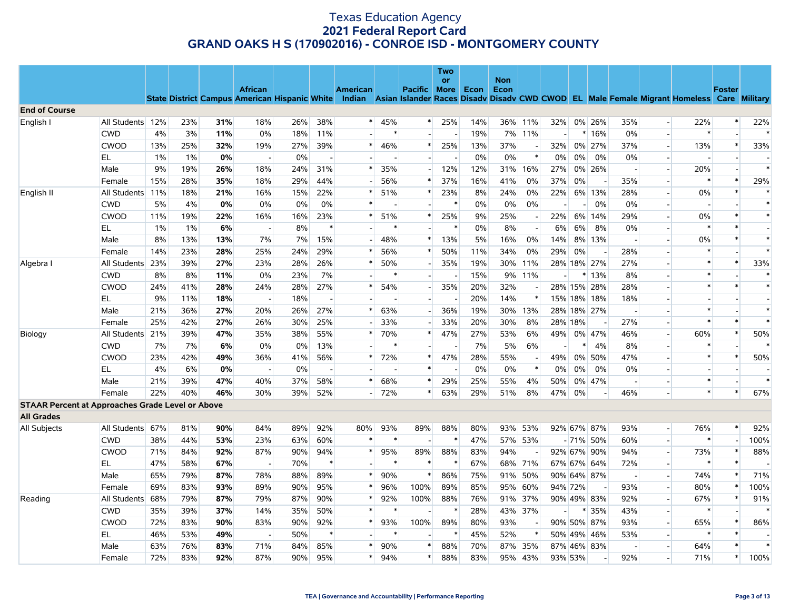| <b>Non</b><br>or<br><b>African</b><br><b>American</b><br><b>More</b><br>Econ<br><b>Foster</b><br><b>Pacific</b><br>Econ<br>State District Campus American Hispanic White Indian Asian Islander Races Disady Disady CWD CWOD EL Male Female Migrant Homeless Care Military<br><b>End of Course</b><br>English I<br>All Students 12%<br>23%<br>31%<br>18%<br>26%<br>38%<br>45%<br>25%<br>14%<br>36% 11%<br>0% 26%<br>35%<br>22%<br>22%<br>32%<br>$\overline{\phantom{a}}$<br>19%<br>$\ast$<br>4%<br>3%<br>11%<br>0%<br>18%<br>11%<br>$\ast$<br>7% 11%<br>$*16%$<br>0%<br><b>CWD</b><br>$\overline{a}$<br>$\overline{a}$<br><b>CWOD</b><br>13%<br>25%<br>32%<br>27%<br>39%<br>25%<br>13%<br>37%<br>32%<br>0% 27%<br>37%<br>13%<br>$\ast$<br>33%<br>19%<br>$\ast$<br>46%<br>$\ast$<br>$\overline{\phantom{a}}$<br>0%<br>0%<br>$\ast$<br>EL<br>1%<br>1%<br>0%<br>0%<br>0%<br>$0\%$<br>0%<br>$0\%$<br>$\overline{\phantom{a}}$<br>$\blacksquare$<br>Male<br>9%<br>19%<br>26%<br>18%<br>24%<br>31%<br>35%<br>12%<br>12%<br>31% 16%<br>27%<br>0% 26%<br>20%<br>$\overline{\phantom{a}}$<br>15%<br>28%<br>35%<br>18%<br>29%<br>44%<br>37%<br>16%<br>41%<br>0%<br>37%<br>0%<br>35%<br>$\ast$<br>29%<br>Female<br>56%<br>$\ast$<br>$\overline{\phantom{a}}$<br>All Students<br>18%<br>16%<br>22%<br>23%<br>8%<br>0%<br>22%<br>6% 13%<br>28%<br>0%<br>English II<br>11%<br>21%<br>15%<br>*<br>51%<br>$\ast$<br>24%<br>$\overline{\phantom{a}}$<br>0%<br>$\ast$<br>0%<br>$\ast$<br><b>CWD</b><br>5%<br>4%<br>0%<br>0%<br>0%<br>$\ast$<br>0%<br>0%<br>0%<br>0%<br>$\overline{\phantom{a}}$<br>$\overline{\phantom{a}}$<br>25%<br>29%<br>$\ast$<br><b>CWOD</b><br>11%<br>19%<br>22%<br>16%<br>16%<br>23%<br>51%<br>$\ast$<br>25%<br>9%<br>22%<br>6% 14%<br>$0\%$<br>$\ast$<br>$\overline{\phantom{a}}$<br>$1\%$<br>6%<br>8%<br>$\ast$<br>0%<br>8%<br>0%<br>$\ast$<br>EL<br>1%<br>$\ast$<br>$\ast$<br>6%<br>6%<br>8%<br>$\sim$<br>$\blacksquare$<br>8%<br>13%<br>13%<br>7%<br>7%<br>15%<br>48%<br>13%<br>5%<br>16%<br>0%<br>8% 13%<br>0%<br>$\ast$<br>Male<br>$\ast$<br>14%<br>$\ast$<br>$\overline{\phantom{a}}$<br>$\overline{a}$<br>25%<br>29%<br>56%<br>$\ast$<br>50%<br>11%<br>34%<br>0%<br>29%<br>0%<br>28%<br>$\ast$<br>$\ast$<br>Female<br>14%<br>23%<br>28%<br>24%<br>$*$<br>All Students 23%<br>27%<br>23%<br>28%<br>26%<br>50%<br>35%<br>19%<br>28% 18% 27%<br>27%<br>$\ast$<br>$\ast$<br>33%<br>Algebra I<br>39%<br>$\ast$<br>30% 11%<br>$\overline{a}$<br>7%<br>15%<br>$\ast$<br>$\ast$<br><b>CWD</b><br>8%<br>0%<br>23%<br>$\ast$<br>9% 11%<br>13%<br>8%<br>8%<br>11%<br>*<br>27%<br>35%<br>20%<br>32%<br>28% 15% 28%<br>28%<br>$\ast$<br><b>CWOD</b><br>24%<br>41%<br>28%<br>24%<br>28%<br>$\ast$<br>54%<br>$\ast$<br>$\ast$<br>$\overline{a}$<br>EL<br>18%<br>20%<br>14%<br>$\ast$<br>9%<br>11%<br>18%<br>15% 18% 18%<br>18%<br>$\overline{\phantom{a}}$<br>Male<br>21%<br>36%<br>27%<br>20%<br>26%<br>27%<br>63%<br>36%<br>19%<br>30% 13%<br>28% 18% 27%<br>$\ast$<br>$\ast$<br>$\overline{a}$<br>$\overline{\phantom{a}}$<br>25%<br>$\ast$<br>$\ast$<br>25%<br>42%<br>27%<br>26%<br>30%<br>33%<br>33%<br>20%<br>30%<br>8%<br>28% 18%<br>27%<br>Female<br>39%<br>47%<br>55%<br>27%<br>53%<br>6%<br>60%<br>$\ast$<br>50%<br>All Students 21%<br>35%<br>38%<br>$\ast$<br>70%<br>$\ast$<br>47%<br>49%<br>0% 47%<br>46%<br>Biology<br>$\overline{a}$<br>7%<br><b>CWD</b><br>7%<br>7%<br>6%<br>0%<br>0%<br>13%<br>5%<br>6%<br>4%<br>8%<br>$\ast$<br>$\overline{\phantom{a}}$<br><b>CWOD</b><br>47%<br>$\ast$<br>$\ast$<br>23%<br>42%<br>49%<br>36%<br>41%<br>56%<br>72%<br>$\ast$<br>28%<br>55%<br>49%<br>0% 50%<br>47%<br>50% |    |    |    |    |                          |       |  |        | Two |    |    |        |       |       |    |       |  |  |
|----------------------------------------------------------------------------------------------------------------------------------------------------------------------------------------------------------------------------------------------------------------------------------------------------------------------------------------------------------------------------------------------------------------------------------------------------------------------------------------------------------------------------------------------------------------------------------------------------------------------------------------------------------------------------------------------------------------------------------------------------------------------------------------------------------------------------------------------------------------------------------------------------------------------------------------------------------------------------------------------------------------------------------------------------------------------------------------------------------------------------------------------------------------------------------------------------------------------------------------------------------------------------------------------------------------------------------------------------------------------------------------------------------------------------------------------------------------------------------------------------------------------------------------------------------------------------------------------------------------------------------------------------------------------------------------------------------------------------------------------------------------------------------------------------------------------------------------------------------------------------------------------------------------------------------------------------------------------------------------------------------------------------------------------------------------------------------------------------------------------------------------------------------------------------------------------------------------------------------------------------------------------------------------------------------------------------------------------------------------------------------------------------------------------------------------------------------------------------------------------------------------------------------------------------------------------------------------------------------------------------------------------------------------------------------------------------------------------------------------------------------------------------------------------------------------------------------------------------------------------------------------------------------------------------------------------------------------------------------------------------------------------------------------------------------------------------------------------------------------------------------------------------------------------------------------------------------------------------------------------------------------------------------------------------------------------------------------------------------------------------------------------------------------------------------------------------------------------------------------------------------------------------------------------------------------------------------------------------------------------------|----|----|----|----|--------------------------|-------|--|--------|-----|----|----|--------|-------|-------|----|-------|--|--|
|                                                                                                                                                                                                                                                                                                                                                                                                                                                                                                                                                                                                                                                                                                                                                                                                                                                                                                                                                                                                                                                                                                                                                                                                                                                                                                                                                                                                                                                                                                                                                                                                                                                                                                                                                                                                                                                                                                                                                                                                                                                                                                                                                                                                                                                                                                                                                                                                                                                                                                                                                                                                                                                                                                                                                                                                                                                                                                                                                                                                                                                                                                                                                                                                                                                                                                                                                                                                                                                                                                                                                                                                                            |    |    |    |    |                          |       |  |        |     |    |    |        |       |       |    |       |  |  |
|                                                                                                                                                                                                                                                                                                                                                                                                                                                                                                                                                                                                                                                                                                                                                                                                                                                                                                                                                                                                                                                                                                                                                                                                                                                                                                                                                                                                                                                                                                                                                                                                                                                                                                                                                                                                                                                                                                                                                                                                                                                                                                                                                                                                                                                                                                                                                                                                                                                                                                                                                                                                                                                                                                                                                                                                                                                                                                                                                                                                                                                                                                                                                                                                                                                                                                                                                                                                                                                                                                                                                                                                                            |    |    |    |    |                          |       |  |        |     |    |    |        |       |       |    |       |  |  |
|                                                                                                                                                                                                                                                                                                                                                                                                                                                                                                                                                                                                                                                                                                                                                                                                                                                                                                                                                                                                                                                                                                                                                                                                                                                                                                                                                                                                                                                                                                                                                                                                                                                                                                                                                                                                                                                                                                                                                                                                                                                                                                                                                                                                                                                                                                                                                                                                                                                                                                                                                                                                                                                                                                                                                                                                                                                                                                                                                                                                                                                                                                                                                                                                                                                                                                                                                                                                                                                                                                                                                                                                                            |    |    |    |    |                          |       |  |        |     |    |    |        |       |       |    |       |  |  |
|                                                                                                                                                                                                                                                                                                                                                                                                                                                                                                                                                                                                                                                                                                                                                                                                                                                                                                                                                                                                                                                                                                                                                                                                                                                                                                                                                                                                                                                                                                                                                                                                                                                                                                                                                                                                                                                                                                                                                                                                                                                                                                                                                                                                                                                                                                                                                                                                                                                                                                                                                                                                                                                                                                                                                                                                                                                                                                                                                                                                                                                                                                                                                                                                                                                                                                                                                                                                                                                                                                                                                                                                                            |    |    |    |    |                          |       |  |        |     |    |    |        |       |       |    |       |  |  |
|                                                                                                                                                                                                                                                                                                                                                                                                                                                                                                                                                                                                                                                                                                                                                                                                                                                                                                                                                                                                                                                                                                                                                                                                                                                                                                                                                                                                                                                                                                                                                                                                                                                                                                                                                                                                                                                                                                                                                                                                                                                                                                                                                                                                                                                                                                                                                                                                                                                                                                                                                                                                                                                                                                                                                                                                                                                                                                                                                                                                                                                                                                                                                                                                                                                                                                                                                                                                                                                                                                                                                                                                                            |    |    |    |    |                          |       |  |        |     |    |    |        |       |       |    |       |  |  |
|                                                                                                                                                                                                                                                                                                                                                                                                                                                                                                                                                                                                                                                                                                                                                                                                                                                                                                                                                                                                                                                                                                                                                                                                                                                                                                                                                                                                                                                                                                                                                                                                                                                                                                                                                                                                                                                                                                                                                                                                                                                                                                                                                                                                                                                                                                                                                                                                                                                                                                                                                                                                                                                                                                                                                                                                                                                                                                                                                                                                                                                                                                                                                                                                                                                                                                                                                                                                                                                                                                                                                                                                                            |    |    |    |    |                          |       |  |        |     |    |    |        |       |       |    |       |  |  |
|                                                                                                                                                                                                                                                                                                                                                                                                                                                                                                                                                                                                                                                                                                                                                                                                                                                                                                                                                                                                                                                                                                                                                                                                                                                                                                                                                                                                                                                                                                                                                                                                                                                                                                                                                                                                                                                                                                                                                                                                                                                                                                                                                                                                                                                                                                                                                                                                                                                                                                                                                                                                                                                                                                                                                                                                                                                                                                                                                                                                                                                                                                                                                                                                                                                                                                                                                                                                                                                                                                                                                                                                                            |    |    |    |    |                          |       |  |        |     |    |    |        |       |       |    |       |  |  |
|                                                                                                                                                                                                                                                                                                                                                                                                                                                                                                                                                                                                                                                                                                                                                                                                                                                                                                                                                                                                                                                                                                                                                                                                                                                                                                                                                                                                                                                                                                                                                                                                                                                                                                                                                                                                                                                                                                                                                                                                                                                                                                                                                                                                                                                                                                                                                                                                                                                                                                                                                                                                                                                                                                                                                                                                                                                                                                                                                                                                                                                                                                                                                                                                                                                                                                                                                                                                                                                                                                                                                                                                                            |    |    |    |    |                          |       |  |        |     |    |    |        |       |       |    |       |  |  |
|                                                                                                                                                                                                                                                                                                                                                                                                                                                                                                                                                                                                                                                                                                                                                                                                                                                                                                                                                                                                                                                                                                                                                                                                                                                                                                                                                                                                                                                                                                                                                                                                                                                                                                                                                                                                                                                                                                                                                                                                                                                                                                                                                                                                                                                                                                                                                                                                                                                                                                                                                                                                                                                                                                                                                                                                                                                                                                                                                                                                                                                                                                                                                                                                                                                                                                                                                                                                                                                                                                                                                                                                                            |    |    |    |    |                          |       |  |        |     |    |    |        |       |       |    |       |  |  |
|                                                                                                                                                                                                                                                                                                                                                                                                                                                                                                                                                                                                                                                                                                                                                                                                                                                                                                                                                                                                                                                                                                                                                                                                                                                                                                                                                                                                                                                                                                                                                                                                                                                                                                                                                                                                                                                                                                                                                                                                                                                                                                                                                                                                                                                                                                                                                                                                                                                                                                                                                                                                                                                                                                                                                                                                                                                                                                                                                                                                                                                                                                                                                                                                                                                                                                                                                                                                                                                                                                                                                                                                                            |    |    |    |    |                          |       |  |        |     |    |    |        |       |       |    |       |  |  |
|                                                                                                                                                                                                                                                                                                                                                                                                                                                                                                                                                                                                                                                                                                                                                                                                                                                                                                                                                                                                                                                                                                                                                                                                                                                                                                                                                                                                                                                                                                                                                                                                                                                                                                                                                                                                                                                                                                                                                                                                                                                                                                                                                                                                                                                                                                                                                                                                                                                                                                                                                                                                                                                                                                                                                                                                                                                                                                                                                                                                                                                                                                                                                                                                                                                                                                                                                                                                                                                                                                                                                                                                                            |    |    |    |    |                          |       |  |        |     |    |    |        |       |       |    |       |  |  |
|                                                                                                                                                                                                                                                                                                                                                                                                                                                                                                                                                                                                                                                                                                                                                                                                                                                                                                                                                                                                                                                                                                                                                                                                                                                                                                                                                                                                                                                                                                                                                                                                                                                                                                                                                                                                                                                                                                                                                                                                                                                                                                                                                                                                                                                                                                                                                                                                                                                                                                                                                                                                                                                                                                                                                                                                                                                                                                                                                                                                                                                                                                                                                                                                                                                                                                                                                                                                                                                                                                                                                                                                                            |    |    |    |    |                          |       |  |        |     |    |    |        |       |       |    |       |  |  |
|                                                                                                                                                                                                                                                                                                                                                                                                                                                                                                                                                                                                                                                                                                                                                                                                                                                                                                                                                                                                                                                                                                                                                                                                                                                                                                                                                                                                                                                                                                                                                                                                                                                                                                                                                                                                                                                                                                                                                                                                                                                                                                                                                                                                                                                                                                                                                                                                                                                                                                                                                                                                                                                                                                                                                                                                                                                                                                                                                                                                                                                                                                                                                                                                                                                                                                                                                                                                                                                                                                                                                                                                                            |    |    |    |    |                          |       |  |        |     |    |    |        |       |       |    |       |  |  |
|                                                                                                                                                                                                                                                                                                                                                                                                                                                                                                                                                                                                                                                                                                                                                                                                                                                                                                                                                                                                                                                                                                                                                                                                                                                                                                                                                                                                                                                                                                                                                                                                                                                                                                                                                                                                                                                                                                                                                                                                                                                                                                                                                                                                                                                                                                                                                                                                                                                                                                                                                                                                                                                                                                                                                                                                                                                                                                                                                                                                                                                                                                                                                                                                                                                                                                                                                                                                                                                                                                                                                                                                                            |    |    |    |    |                          |       |  |        |     |    |    |        |       |       |    |       |  |  |
|                                                                                                                                                                                                                                                                                                                                                                                                                                                                                                                                                                                                                                                                                                                                                                                                                                                                                                                                                                                                                                                                                                                                                                                                                                                                                                                                                                                                                                                                                                                                                                                                                                                                                                                                                                                                                                                                                                                                                                                                                                                                                                                                                                                                                                                                                                                                                                                                                                                                                                                                                                                                                                                                                                                                                                                                                                                                                                                                                                                                                                                                                                                                                                                                                                                                                                                                                                                                                                                                                                                                                                                                                            |    |    |    |    |                          |       |  |        |     |    |    |        |       |       |    |       |  |  |
|                                                                                                                                                                                                                                                                                                                                                                                                                                                                                                                                                                                                                                                                                                                                                                                                                                                                                                                                                                                                                                                                                                                                                                                                                                                                                                                                                                                                                                                                                                                                                                                                                                                                                                                                                                                                                                                                                                                                                                                                                                                                                                                                                                                                                                                                                                                                                                                                                                                                                                                                                                                                                                                                                                                                                                                                                                                                                                                                                                                                                                                                                                                                                                                                                                                                                                                                                                                                                                                                                                                                                                                                                            |    |    |    |    |                          |       |  |        |     |    |    |        |       |       |    |       |  |  |
|                                                                                                                                                                                                                                                                                                                                                                                                                                                                                                                                                                                                                                                                                                                                                                                                                                                                                                                                                                                                                                                                                                                                                                                                                                                                                                                                                                                                                                                                                                                                                                                                                                                                                                                                                                                                                                                                                                                                                                                                                                                                                                                                                                                                                                                                                                                                                                                                                                                                                                                                                                                                                                                                                                                                                                                                                                                                                                                                                                                                                                                                                                                                                                                                                                                                                                                                                                                                                                                                                                                                                                                                                            |    |    |    |    |                          |       |  |        |     |    |    |        |       |       |    |       |  |  |
|                                                                                                                                                                                                                                                                                                                                                                                                                                                                                                                                                                                                                                                                                                                                                                                                                                                                                                                                                                                                                                                                                                                                                                                                                                                                                                                                                                                                                                                                                                                                                                                                                                                                                                                                                                                                                                                                                                                                                                                                                                                                                                                                                                                                                                                                                                                                                                                                                                                                                                                                                                                                                                                                                                                                                                                                                                                                                                                                                                                                                                                                                                                                                                                                                                                                                                                                                                                                                                                                                                                                                                                                                            |    |    |    |    |                          |       |  |        |     |    |    |        |       |       |    |       |  |  |
|                                                                                                                                                                                                                                                                                                                                                                                                                                                                                                                                                                                                                                                                                                                                                                                                                                                                                                                                                                                                                                                                                                                                                                                                                                                                                                                                                                                                                                                                                                                                                                                                                                                                                                                                                                                                                                                                                                                                                                                                                                                                                                                                                                                                                                                                                                                                                                                                                                                                                                                                                                                                                                                                                                                                                                                                                                                                                                                                                                                                                                                                                                                                                                                                                                                                                                                                                                                                                                                                                                                                                                                                                            |    |    |    |    |                          |       |  |        |     |    |    |        |       |       |    |       |  |  |
|                                                                                                                                                                                                                                                                                                                                                                                                                                                                                                                                                                                                                                                                                                                                                                                                                                                                                                                                                                                                                                                                                                                                                                                                                                                                                                                                                                                                                                                                                                                                                                                                                                                                                                                                                                                                                                                                                                                                                                                                                                                                                                                                                                                                                                                                                                                                                                                                                                                                                                                                                                                                                                                                                                                                                                                                                                                                                                                                                                                                                                                                                                                                                                                                                                                                                                                                                                                                                                                                                                                                                                                                                            |    |    |    |    |                          |       |  |        |     |    |    |        |       |       |    |       |  |  |
|                                                                                                                                                                                                                                                                                                                                                                                                                                                                                                                                                                                                                                                                                                                                                                                                                                                                                                                                                                                                                                                                                                                                                                                                                                                                                                                                                                                                                                                                                                                                                                                                                                                                                                                                                                                                                                                                                                                                                                                                                                                                                                                                                                                                                                                                                                                                                                                                                                                                                                                                                                                                                                                                                                                                                                                                                                                                                                                                                                                                                                                                                                                                                                                                                                                                                                                                                                                                                                                                                                                                                                                                                            |    |    |    |    |                          |       |  |        |     |    |    |        |       |       |    |       |  |  |
|                                                                                                                                                                                                                                                                                                                                                                                                                                                                                                                                                                                                                                                                                                                                                                                                                                                                                                                                                                                                                                                                                                                                                                                                                                                                                                                                                                                                                                                                                                                                                                                                                                                                                                                                                                                                                                                                                                                                                                                                                                                                                                                                                                                                                                                                                                                                                                                                                                                                                                                                                                                                                                                                                                                                                                                                                                                                                                                                                                                                                                                                                                                                                                                                                                                                                                                                                                                                                                                                                                                                                                                                                            |    |    |    |    |                          |       |  |        |     |    |    |        |       |       |    |       |  |  |
|                                                                                                                                                                                                                                                                                                                                                                                                                                                                                                                                                                                                                                                                                                                                                                                                                                                                                                                                                                                                                                                                                                                                                                                                                                                                                                                                                                                                                                                                                                                                                                                                                                                                                                                                                                                                                                                                                                                                                                                                                                                                                                                                                                                                                                                                                                                                                                                                                                                                                                                                                                                                                                                                                                                                                                                                                                                                                                                                                                                                                                                                                                                                                                                                                                                                                                                                                                                                                                                                                                                                                                                                                            |    |    |    |    |                          |       |  |        |     |    |    |        |       |       |    |       |  |  |
|                                                                                                                                                                                                                                                                                                                                                                                                                                                                                                                                                                                                                                                                                                                                                                                                                                                                                                                                                                                                                                                                                                                                                                                                                                                                                                                                                                                                                                                                                                                                                                                                                                                                                                                                                                                                                                                                                                                                                                                                                                                                                                                                                                                                                                                                                                                                                                                                                                                                                                                                                                                                                                                                                                                                                                                                                                                                                                                                                                                                                                                                                                                                                                                                                                                                                                                                                                                                                                                                                                                                                                                                                            |    |    |    |    |                          |       |  |        |     |    |    |        |       |       |    |       |  |  |
|                                                                                                                                                                                                                                                                                                                                                                                                                                                                                                                                                                                                                                                                                                                                                                                                                                                                                                                                                                                                                                                                                                                                                                                                                                                                                                                                                                                                                                                                                                                                                                                                                                                                                                                                                                                                                                                                                                                                                                                                                                                                                                                                                                                                                                                                                                                                                                                                                                                                                                                                                                                                                                                                                                                                                                                                                                                                                                                                                                                                                                                                                                                                                                                                                                                                                                                                                                                                                                                                                                                                                                                                                            | EL | 4% | 6% | 0% | $\overline{\phantom{a}}$ | $0\%$ |  | $\ast$ |     | 0% | 0% | $\ast$ | $0\%$ | $0\%$ | 0% | $0\%$ |  |  |
| $\ast$<br>39%<br>47%<br>40%<br>37%<br>58%<br>68%<br>29%<br>25%<br>55%<br>4%<br>Male<br>21%<br>$*$<br>$\ast$<br>50%<br>0% 47%                                                                                                                                                                                                                                                                                                                                                                                                                                                                                                                                                                                                                                                                                                                                                                                                                                                                                                                                                                                                                                                                                                                                                                                                                                                                                                                                                                                                                                                                                                                                                                                                                                                                                                                                                                                                                                                                                                                                                                                                                                                                                                                                                                                                                                                                                                                                                                                                                                                                                                                                                                                                                                                                                                                                                                                                                                                                                                                                                                                                                                                                                                                                                                                                                                                                                                                                                                                                                                                                                               |    |    |    |    |                          |       |  |        |     |    |    |        |       |       |    |       |  |  |
| 22%<br>40%<br>46%<br>30%<br>39%<br>52%<br>63%<br>29%<br>8%<br>46%<br>$\ast$<br>$\ast$<br>67%<br>Female<br>$-72%$<br>$\ast$<br>51%<br>47%<br>0%                                                                                                                                                                                                                                                                                                                                                                                                                                                                                                                                                                                                                                                                                                                                                                                                                                                                                                                                                                                                                                                                                                                                                                                                                                                                                                                                                                                                                                                                                                                                                                                                                                                                                                                                                                                                                                                                                                                                                                                                                                                                                                                                                                                                                                                                                                                                                                                                                                                                                                                                                                                                                                                                                                                                                                                                                                                                                                                                                                                                                                                                                                                                                                                                                                                                                                                                                                                                                                                                             |    |    |    |    |                          |       |  |        |     |    |    |        |       |       |    |       |  |  |
| <b>STAAR Percent at Approaches Grade Level or Above</b>                                                                                                                                                                                                                                                                                                                                                                                                                                                                                                                                                                                                                                                                                                                                                                                                                                                                                                                                                                                                                                                                                                                                                                                                                                                                                                                                                                                                                                                                                                                                                                                                                                                                                                                                                                                                                                                                                                                                                                                                                                                                                                                                                                                                                                                                                                                                                                                                                                                                                                                                                                                                                                                                                                                                                                                                                                                                                                                                                                                                                                                                                                                                                                                                                                                                                                                                                                                                                                                                                                                                                                    |    |    |    |    |                          |       |  |        |     |    |    |        |       |       |    |       |  |  |
| <b>All Grades</b>                                                                                                                                                                                                                                                                                                                                                                                                                                                                                                                                                                                                                                                                                                                                                                                                                                                                                                                                                                                                                                                                                                                                                                                                                                                                                                                                                                                                                                                                                                                                                                                                                                                                                                                                                                                                                                                                                                                                                                                                                                                                                                                                                                                                                                                                                                                                                                                                                                                                                                                                                                                                                                                                                                                                                                                                                                                                                                                                                                                                                                                                                                                                                                                                                                                                                                                                                                                                                                                                                                                                                                                                          |    |    |    |    |                          |       |  |        |     |    |    |        |       |       |    |       |  |  |
| 89%<br>92%<br>93%<br>89%<br>88%<br>80%<br>93% 53%<br>92% 67% 87%<br>76%<br>$\ast$<br>92%<br>All Students 67%<br>81%<br>90%<br>84%<br>80%<br>93%<br>$\overline{\phantom{a}}$<br>All Subjects                                                                                                                                                                                                                                                                                                                                                                                                                                                                                                                                                                                                                                                                                                                                                                                                                                                                                                                                                                                                                                                                                                                                                                                                                                                                                                                                                                                                                                                                                                                                                                                                                                                                                                                                                                                                                                                                                                                                                                                                                                                                                                                                                                                                                                                                                                                                                                                                                                                                                                                                                                                                                                                                                                                                                                                                                                                                                                                                                                                                                                                                                                                                                                                                                                                                                                                                                                                                                                |    |    |    |    |                          |       |  |        |     |    |    |        |       |       |    |       |  |  |
| 100%<br>23%<br>60%<br>47%<br>60%<br>$\ast$<br><b>CWD</b><br>38%<br>44%<br>53%<br>63%<br>*<br>$\ast$<br>$\ast$<br>57% 53%<br>$-71\%$ 50%<br>$\overline{\phantom{a}}$                                                                                                                                                                                                                                                                                                                                                                                                                                                                                                                                                                                                                                                                                                                                                                                                                                                                                                                                                                                                                                                                                                                                                                                                                                                                                                                                                                                                                                                                                                                                                                                                                                                                                                                                                                                                                                                                                                                                                                                                                                                                                                                                                                                                                                                                                                                                                                                                                                                                                                                                                                                                                                                                                                                                                                                                                                                                                                                                                                                                                                                                                                                                                                                                                                                                                                                                                                                                                                                        |    |    |    |    |                          |       |  |        |     |    |    |        |       |       |    |       |  |  |
| <b>CWOD</b><br>87%<br>95%<br>88%<br>94%<br>92% 67% 90%<br>$\overline{\phantom{a}}$<br>73%<br>$\ast$<br>88%<br>71%<br>84%<br>92%<br>90%<br>94%<br>$\ast$<br>89%<br>83%<br>94%                                                                                                                                                                                                                                                                                                                                                                                                                                                                                                                                                                                                                                                                                                                                                                                                                                                                                                                                                                                                                                                                                                                                                                                                                                                                                                                                                                                                                                                                                                                                                                                                                                                                                                                                                                                                                                                                                                                                                                                                                                                                                                                                                                                                                                                                                                                                                                                                                                                                                                                                                                                                                                                                                                                                                                                                                                                                                                                                                                                                                                                                                                                                                                                                                                                                                                                                                                                                                                               |    |    |    |    |                          |       |  |        |     |    |    |        |       |       |    |       |  |  |
| EL.<br>47%<br>70%<br>$\ast$<br>67%<br>68% 71%<br>$\ast$<br>58%<br>67%<br>*<br>$\ast$<br>∗<br>67% 67% 64%<br>72%<br>$\ast$<br>$\blacksquare$<br>$\overline{\phantom{a}}$                                                                                                                                                                                                                                                                                                                                                                                                                                                                                                                                                                                                                                                                                                                                                                                                                                                                                                                                                                                                                                                                                                                                                                                                                                                                                                                                                                                                                                                                                                                                                                                                                                                                                                                                                                                                                                                                                                                                                                                                                                                                                                                                                                                                                                                                                                                                                                                                                                                                                                                                                                                                                                                                                                                                                                                                                                                                                                                                                                                                                                                                                                                                                                                                                                                                                                                                                                                                                                                    |    |    |    |    |                          |       |  |        |     |    |    |        |       |       |    |       |  |  |
| 89%<br>86%<br>71%<br>65%<br>79%<br>87%<br>78%<br>88%<br>$\ast$<br>90%<br>$\ast$<br>75%<br>91% 50%<br>90% 64% 87%<br>74%<br>*<br>Male                                                                                                                                                                                                                                                                                                                                                                                                                                                                                                                                                                                                                                                                                                                                                                                                                                                                                                                                                                                                                                                                                                                                                                                                                                                                                                                                                                                                                                                                                                                                                                                                                                                                                                                                                                                                                                                                                                                                                                                                                                                                                                                                                                                                                                                                                                                                                                                                                                                                                                                                                                                                                                                                                                                                                                                                                                                                                                                                                                                                                                                                                                                                                                                                                                                                                                                                                                                                                                                                                       |    |    |    |    |                          |       |  |        |     |    |    |        |       |       |    |       |  |  |
| 95%<br>100%<br>85%<br>93%<br>100%<br>Female<br>69%<br>83%<br>93%<br>89%<br>90%<br>$\ast$<br>96%<br>89%<br>95% 60%<br>94% 72%<br>80%<br>*<br>$\overline{a}$                                                                                                                                                                                                                                                                                                                                                                                                                                                                                                                                                                                                                                                                                                                                                                                                                                                                                                                                                                                                                                                                                                                                                                                                                                                                                                                                                                                                                                                                                                                                                                                                                                                                                                                                                                                                                                                                                                                                                                                                                                                                                                                                                                                                                                                                                                                                                                                                                                                                                                                                                                                                                                                                                                                                                                                                                                                                                                                                                                                                                                                                                                                                                                                                                                                                                                                                                                                                                                                                 |    |    |    |    |                          |       |  |        |     |    |    |        |       |       |    |       |  |  |
| All Students<br>68%<br>79%<br>87%<br>79%<br>87%<br>90%<br>92%<br>100%<br>88%<br>76%<br>91% 37%<br>90% 49% 83%<br>92%<br>67%<br>91%<br>Reading<br>*<br>*<br>$\overline{\phantom{a}}$                                                                                                                                                                                                                                                                                                                                                                                                                                                                                                                                                                                                                                                                                                                                                                                                                                                                                                                                                                                                                                                                                                                                                                                                                                                                                                                                                                                                                                                                                                                                                                                                                                                                                                                                                                                                                                                                                                                                                                                                                                                                                                                                                                                                                                                                                                                                                                                                                                                                                                                                                                                                                                                                                                                                                                                                                                                                                                                                                                                                                                                                                                                                                                                                                                                                                                                                                                                                                                        |    |    |    |    |                          |       |  |        |     |    |    |        |       |       |    |       |  |  |
| <b>CWD</b><br>39%<br>37%<br>14%<br>50%<br>$\ast$<br>$\ast$<br>28%<br>43% 37%<br>35%<br>43%<br>$\ast$<br>35%<br>35%<br>$\ast$<br>$\ast$<br>$\overline{a}$                                                                                                                                                                                                                                                                                                                                                                                                                                                                                                                                                                                                                                                                                                                                                                                                                                                                                                                                                                                                                                                                                                                                                                                                                                                                                                                                                                                                                                                                                                                                                                                                                                                                                                                                                                                                                                                                                                                                                                                                                                                                                                                                                                                                                                                                                                                                                                                                                                                                                                                                                                                                                                                                                                                                                                                                                                                                                                                                                                                                                                                                                                                                                                                                                                                                                                                                                                                                                                                                   |    |    |    |    |                          |       |  |        |     |    |    |        |       |       |    |       |  |  |
| 100%<br>89%<br>86%<br><b>CWOD</b><br>72%<br>83%<br>90%<br>83%<br>90%<br>92%<br>93%<br>80%<br>93%<br>90% 50% 87%<br>93%<br>65%<br>$\overline{\phantom{a}}$                                                                                                                                                                                                                                                                                                                                                                                                                                                                                                                                                                                                                                                                                                                                                                                                                                                                                                                                                                                                                                                                                                                                                                                                                                                                                                                                                                                                                                                                                                                                                                                                                                                                                                                                                                                                                                                                                                                                                                                                                                                                                                                                                                                                                                                                                                                                                                                                                                                                                                                                                                                                                                                                                                                                                                                                                                                                                                                                                                                                                                                                                                                                                                                                                                                                                                                                                                                                                                                                  |    |    |    |    |                          |       |  |        |     |    |    |        |       |       |    |       |  |  |
| $\ast$<br>$\ast$<br>$\ast$<br>45%<br>52%<br>$\ast$<br>$\ast$<br>$\ast$<br>EL.<br>46%<br>53%<br>49%<br>50%<br>50% 49% 46%<br>53%<br>$\blacksquare$<br>$\overline{a}$                                                                                                                                                                                                                                                                                                                                                                                                                                                                                                                                                                                                                                                                                                                                                                                                                                                                                                                                                                                                                                                                                                                                                                                                                                                                                                                                                                                                                                                                                                                                                                                                                                                                                                                                                                                                                                                                                                                                                                                                                                                                                                                                                                                                                                                                                                                                                                                                                                                                                                                                                                                                                                                                                                                                                                                                                                                                                                                                                                                                                                                                                                                                                                                                                                                                                                                                                                                                                                                        |    |    |    |    |                          |       |  |        |     |    |    |        |       |       |    |       |  |  |
| 63%<br>76%<br>83%<br>71%<br>84%<br>85%<br>90%<br>88%<br>70%<br>87% 35%<br>87% 46% 83%<br>64%<br>Male<br>$\ast$<br>$\ast$                                                                                                                                                                                                                                                                                                                                                                                                                                                                                                                                                                                                                                                                                                                                                                                                                                                                                                                                                                                                                                                                                                                                                                                                                                                                                                                                                                                                                                                                                                                                                                                                                                                                                                                                                                                                                                                                                                                                                                                                                                                                                                                                                                                                                                                                                                                                                                                                                                                                                                                                                                                                                                                                                                                                                                                                                                                                                                                                                                                                                                                                                                                                                                                                                                                                                                                                                                                                                                                                                                   |    |    |    |    |                          |       |  |        |     |    |    |        |       |       |    |       |  |  |
| 72%<br>83%<br>92%<br>87%<br>90%<br>95%<br>88%<br>83%<br>95% 43%<br>93% 53%<br>92%<br>71%<br>100%<br>94%<br>Female<br>$\overline{\phantom{a}}$                                                                                                                                                                                                                                                                                                                                                                                                                                                                                                                                                                                                                                                                                                                                                                                                                                                                                                                                                                                                                                                                                                                                                                                                                                                                                                                                                                                                                                                                                                                                                                                                                                                                                                                                                                                                                                                                                                                                                                                                                                                                                                                                                                                                                                                                                                                                                                                                                                                                                                                                                                                                                                                                                                                                                                                                                                                                                                                                                                                                                                                                                                                                                                                                                                                                                                                                                                                                                                                                              |    |    |    |    |                          |       |  |        |     |    |    |        |       |       |    |       |  |  |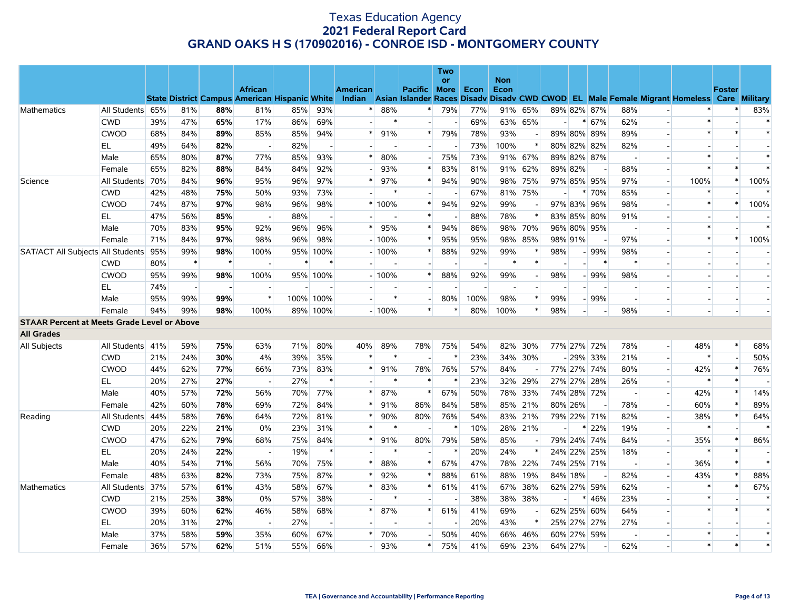|                                                    |                  |     |                          |                |                                                                        |     |                          |          |         |                     | <b>Two</b><br>or |      | <b>Non</b> |                |                          |                          |                |                |                          |                                                                                                  |        |        |
|----------------------------------------------------|------------------|-----|--------------------------|----------------|------------------------------------------------------------------------|-----|--------------------------|----------|---------|---------------------|------------------|------|------------|----------------|--------------------------|--------------------------|----------------|----------------|--------------------------|--------------------------------------------------------------------------------------------------|--------|--------|
|                                                    |                  |     |                          |                | <b>African</b><br><b>State District Campus American Hispanic White</b> |     |                          | American |         | <b>Pacific More</b> |                  | Econ | Econ       |                |                          |                          |                |                |                          | Indian Asian Islander Races Disady Disady CWD CWOD EL Male Female Migrant Homeless Care Military | Foster |        |
| Mathematics                                        | All Students 65% |     | 81%                      | 88%            | 81%                                                                    | 85% | 93%                      | $\ast$   | 88%     | $\ast$              | 79%              | 77%  |            | 91% 65%        |                          |                          | 89% 82% 87%    | 88%            |                          |                                                                                                  |        | 83%    |
|                                                    | <b>CWD</b>       | 39% | 47%                      | 65%            | 17%                                                                    | 86% | 69%                      |          | $\star$ |                     |                  | 69%  |            | 63% 65%        |                          | *                        | 67%            | 62%            |                          | $\ast$                                                                                           |        | $\ast$ |
|                                                    | <b>CWOD</b>      | 68% | 84%                      | 89%            | 85%                                                                    | 85% | 94%                      |          | 91%     | $\ast$              | 79%              | 78%  | 93%        |                |                          |                          | 89% 80% 89%    | 89%            | $\overline{a}$           | $\ast$                                                                                           | $\ast$ | $\ast$ |
|                                                    | EL               | 49% | 64%                      | 82%            | $\sim$                                                                 | 82% | $\overline{\phantom{a}}$ |          |         |                     |                  | 73%  | 100%       | $\ast$         |                          |                          | 80% 82% 82%    | 82%            |                          |                                                                                                  |        |        |
|                                                    | Male             | 65% | 80%                      | 87%            | 77%                                                                    | 85% | 93%                      | $\ast$   | 80%     |                     | 75%              | 73%  |            | 91% 67%        |                          |                          | 89% 82% 87%    |                |                          | $\ast$                                                                                           |        | $\ast$ |
|                                                    | Female           | 65% | 82%                      | 88%            | 84%                                                                    | 84% | 92%                      |          | 93%     | $\ast$              | 83%              | 81%  |            | 91% 62%        |                          | 89% 82%                  | $\overline{a}$ | 88%            | $\overline{a}$           | $\ast$                                                                                           | $\ast$ | $\ast$ |
| Science                                            | All Students 70% |     | 84%                      | 96%            | 95%                                                                    | 96% | 97%                      | $\ast$   | 97%     | $\ast$              | 94%              | 90%  |            | 98% 75%        |                          |                          | 97% 85% 95%    | 97%            |                          | 100%                                                                                             | $\ast$ | 100%   |
|                                                    | <b>CWD</b>       | 42% | 48%                      | 75%            | 50%                                                                    | 93% | 73%                      |          | $\ast$  |                     |                  | 67%  |            | 81% 75%        | $\overline{\phantom{a}}$ | $\ast$                   | 70%            | 85%            | $\overline{a}$           | $\ast$                                                                                           |        |        |
|                                                    | <b>CWOD</b>      | 74% | 87%                      | 97%            | 98%                                                                    | 96% | 98%                      |          | * 100%  | $\ast$              | 94%              | 92%  | 99%        |                |                          |                          | 97% 83% 96%    | 98%            | $\overline{\phantom{a}}$ | $\ast$                                                                                           | *      | 100%   |
|                                                    | EL.              | 47% | 56%                      | 85%            | $\overline{\phantom{a}}$                                               | 88% | $\overline{\phantom{a}}$ |          |         | $\ast$              |                  | 88%  | 78%        | $\ast$         |                          |                          | 83% 85% 80%    | 91%            |                          |                                                                                                  |        |        |
|                                                    | Male             | 70% | 83%                      | 95%            | 92%                                                                    | 96% | 96%                      | $\ast$   | 95%     | $\ast$              | 94%              | 86%  |            | 98% 70%        |                          |                          | 96% 80% 95%    | $\overline{a}$ |                          | $\ast$                                                                                           |        | $\ast$ |
|                                                    | Female           | 71% | 84%                      | 97%            | 98%                                                                    | 96% | 98%                      |          | $-100%$ | $\ast$              | 95%              | 95%  |            | 98% 85%        |                          | 98% 91%                  |                | 97%            |                          | $\ast$                                                                                           | $\ast$ | 100%   |
| SAT/ACT All Subjects All Students 95%              |                  |     | 99%                      | 98%            | 100%                                                                   | 95% | 100%                     |          | $-100%$ | $\ast$              | 88%              | 92%  | 99%        | $\ast$         | 98%                      |                          | $-99%$         | 98%            |                          |                                                                                                  |        |        |
|                                                    | <b>CWD</b>       | 80% | $\ast$                   | $\star$        |                                                                        |     | $\ast$                   |          |         |                     |                  |      |            | $\ast$         |                          |                          |                | $\ast$         |                          |                                                                                                  |        |        |
|                                                    | <b>CWOD</b>      | 95% | 99%                      | 98%            | 100%                                                                   |     | 95% 100%                 |          | $-100%$ | $\ast$              | 88%              | 92%  | 99%        | $\blacksquare$ | 98%                      |                          | $-99%$         | 98%            |                          |                                                                                                  |        |        |
|                                                    | EL               | 74% | $\overline{\phantom{a}}$ | $\blacksquare$ |                                                                        |     |                          |          |         |                     |                  |      |            |                |                          |                          |                |                |                          |                                                                                                  |        |        |
|                                                    | Male             | 95% | 99%                      | 99%            | $\ast$                                                                 |     | 100% 100%                |          | $\ast$  |                     | 80%              | 100% | 98%        | $\ast$         | 99%                      |                          | $-99%$         |                |                          |                                                                                                  |        |        |
|                                                    | Female           | 94% | 99%                      | 98%            | 100%                                                                   |     | 89% 100%                 |          | $-100%$ | $\ast$              | $\ast$           | 80%  | 100%       | $\ast$         | 98%                      | $\overline{\phantom{0}}$ |                | 98%            |                          |                                                                                                  |        |        |
| <b>STAAR Percent at Meets Grade Level or Above</b> |                  |     |                          |                |                                                                        |     |                          |          |         |                     |                  |      |            |                |                          |                          |                |                |                          |                                                                                                  |        |        |
| <b>All Grades</b>                                  |                  |     |                          |                |                                                                        |     |                          |          |         |                     |                  |      |            |                |                          |                          |                |                |                          |                                                                                                  |        |        |
| All Subjects                                       | All Students 41% |     | 59%                      | 75%            | 63%                                                                    | 71% | 80%                      | 40%      | 89%     | 78%                 | 75%              | 54%  |            | 82% 30%        |                          |                          | 77% 27% 72%    | 78%            | $\overline{a}$           | 48%                                                                                              | $\ast$ | 68%    |
|                                                    | <b>CWD</b>       | 21% | 24%                      | 30%            | 4%                                                                     | 39% | 35%                      | *        | $\ast$  |                     | $\ast$           | 23%  |            | 34% 30%        |                          |                          | $-29\%$ 33%    | 21%            |                          | $\ast$                                                                                           |        | 50%    |
|                                                    | <b>CWOD</b>      | 44% | 62%                      | 77%            | 66%                                                                    | 73% | 83%                      | $\ast$   | 91%     | 78%                 | 76%              | 57%  | 84%        |                |                          |                          | 77% 27% 74%    | 80%            | $\overline{a}$           | 42%                                                                                              | $\ast$ | 76%    |
|                                                    | EL               | 20% | 27%                      | 27%            | $\overline{\phantom{a}}$                                               | 27% | $\ast$                   |          |         | $\ast$              | $\ast$           | 23%  |            | 32% 29%        |                          |                          | 27% 27% 28%    | 26%            | $\overline{\phantom{a}}$ |                                                                                                  | $\ast$ |        |
|                                                    | Male             | 40% | 57%                      | 72%            | 56%                                                                    | 70% | 77%                      | $\ast$   | 87%     | $\ast$              | 67%              | 50%  |            | 78% 33%        |                          |                          | 74% 28% 72%    |                | $\overline{a}$           | 42%                                                                                              | $\ast$ | 14%    |
|                                                    | Female           | 42% | 60%                      | 78%            | 69%                                                                    | 72% | 84%                      | $\ast$   | 91%     | 86%                 | 84%              | 58%  |            | 85% 21%        |                          | 80% 26%                  | $\overline{a}$ | 78%            | $\overline{\phantom{a}}$ | 60%                                                                                              | $\ast$ | 89%    |
| Reading                                            | All Students 44% |     | 58%                      | 76%            | 64%                                                                    | 72% | 81%                      | *        | 90%     | 80%                 | 76%              | 54%  |            | 83% 21%        |                          |                          | 79% 22% 71%    | 82%            |                          | 38%                                                                                              |        | 64%    |
|                                                    | <b>CWD</b>       | 20% | 22%                      | 21%            | 0%                                                                     | 23% | 31%                      | *        | $\ast$  |                     | $\ast$           | 10%  |            | 28% 21%        |                          | ∗                        | 22%            | 19%            | $\overline{a}$           | $\ast$                                                                                           |        |        |
|                                                    | <b>CWOD</b>      | 47% | 62%                      | 79%            | 68%                                                                    | 75% | 84%                      |          | 91%     | 80%                 | 79%              | 58%  | 85%        |                |                          |                          | 79% 24% 74%    | 84%            | $\overline{a}$           | 35%                                                                                              | $\ast$ | 86%    |
|                                                    | EL.              | 20% | 24%                      | 22%            | $\overline{\phantom{a}}$                                               | 19% | $\ast$                   |          | $\ast$  |                     | $\ast$           | 20%  | 24%        | $\ast$         |                          |                          | 24% 22% 25%    | 18%            | $\overline{a}$           |                                                                                                  |        |        |
|                                                    | Male             | 40% | 54%                      | 71%            | 56%                                                                    | 70% | 75%                      | *        | 88%     | $\ast$              | 67%              | 47%  |            | 78% 22%        |                          |                          | 74% 25% 71%    | $\overline{a}$ | $\overline{\phantom{a}}$ | 36%                                                                                              | $\ast$ | $\ast$ |
|                                                    | Female           | 48% | 63%                      | 82%            | 73%                                                                    | 75% | 87%                      |          | 92%     | $\ast$              | 88%              | 61%  |            | 88% 19%        |                          | 84% 18%                  |                | 82%            |                          | 43%                                                                                              | $\ast$ | 88%    |
| <b>Mathematics</b>                                 | All Students 37% |     | 57%                      | 61%            | 43%                                                                    | 58% | 67%                      | *        | 83%     | $\ast$              | 61%              | 41%  |            | 67% 38%        |                          |                          | 62% 27% 59%    | 62%            | $\overline{a}$           | $\ast$                                                                                           | $\ast$ | 67%    |
|                                                    | <b>CWD</b>       | 21% | 25%                      | 38%            | 0%                                                                     | 57% | 38%                      |          |         |                     |                  | 38%  |            | 38% 38%        |                          |                          | 46%            | 23%            | $\overline{\phantom{a}}$ | $\ast$                                                                                           |        | $\ast$ |
|                                                    | <b>CWOD</b>      | 39% | 60%                      | 62%            | 46%                                                                    | 58% | 68%                      | $\ast$   | 87%     | $\ast$              | 61%              | 41%  | 69%        |                |                          |                          | 62% 25% 60%    | 64%            |                          | $\ast$                                                                                           | $\ast$ | $\ast$ |
|                                                    | EL.              | 20% | 31%                      | 27%            | $\overline{a}$                                                         | 27% | $\overline{\phantom{a}}$ |          |         | н.                  | $\overline{a}$   | 20%  | 43%        | $\ast$         |                          |                          | 25% 27% 27%    | 27%            |                          |                                                                                                  |        |        |
|                                                    | Male             | 37% | 58%                      | 59%            | 35%                                                                    | 60% | 67%                      |          | 70%     |                     | 50%              | 40%  |            | 66% 46%        |                          |                          | 60% 27% 59%    |                |                          | $\ast$                                                                                           |        | $\ast$ |
|                                                    | Female           | 36% | 57%                      | 62%            | 51%                                                                    | 55% | 66%                      |          | 93%     | $\ast$              | 75%              | 41%  |            | 69% 23%        |                          | 64% 27%                  |                | 62%            |                          | $\ast$                                                                                           | $\ast$ | $\ast$ |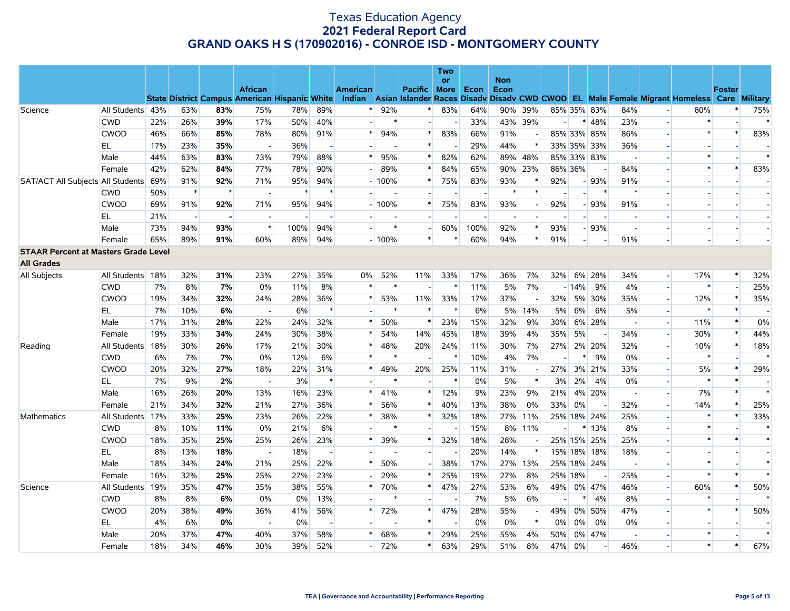|                                             |                  |     |                                                      |                |                          |      |                          |          |         |                   | Two<br>or |      | <b>Non</b>               |                          |                          |                |             |                                                                                                  |        |               |                          |
|---------------------------------------------|------------------|-----|------------------------------------------------------|----------------|--------------------------|------|--------------------------|----------|---------|-------------------|-----------|------|--------------------------|--------------------------|--------------------------|----------------|-------------|--------------------------------------------------------------------------------------------------|--------|---------------|--------------------------|
|                                             |                  |     |                                                      |                | <b>African</b>           |      |                          | American |         | Pacific More Econ |           |      | Econ                     |                          |                          |                |             |                                                                                                  |        | <b>Foster</b> |                          |
|                                             |                  |     | <b>State District Campus American Hispanic White</b> |                |                          |      |                          |          |         |                   |           |      |                          |                          |                          |                |             | Indian Asian Islander Races Disadv Disadv CWD CWOD EL Male Female Migrant Homeless Care Military |        |               |                          |
| Science                                     | All Students 43% |     | 63%                                                  | 83%            | 75%                      | 78%  | 89%                      | $\ast$   | 92%     | $\ast$            | 83%       | 64%  |                          | 90% 39%                  |                          |                | 85% 35% 83% | 84%                                                                                              | 80%    |               | 75%                      |
|                                             | <b>CWD</b>       | 22% | 26%                                                  | 39%            | 17%                      | 50%  | 40%                      |          | $\ast$  | н.                |           | 33%  |                          | 43% 39%                  | $\overline{a}$           | $\ast$         | 48%         | 23%<br>$\overline{\phantom{a}}$                                                                  |        |               | $\ast$                   |
|                                             | <b>CWOD</b>      | 46% | 66%                                                  | 85%            | 78%                      | 80%  | 91%                      |          | 94%     | $\ast$            | 83%       | 66%  | 91%                      |                          |                          |                | 85% 33% 85% | 86%                                                                                              |        |               | 83%                      |
|                                             | EL               | 17% | 23%                                                  | 35%            |                          | 36%  |                          |          |         | $\ast$            |           | 29%  | 44%                      |                          |                          |                | 33% 35% 33% | 36%                                                                                              |        |               |                          |
|                                             | Male             | 44% | 63%                                                  | 83%            | 73%                      | 79%  | 88%                      | $\ast$   | 95%     | $\ast$            | 82%       | 62%  |                          | 89% 48%                  |                          |                | 85% 33% 83% | $\sim$<br>$\overline{a}$                                                                         | $\ast$ |               | $\ast$                   |
|                                             | Female           | 42% | 62%                                                  | 84%            | 77%                      | 78%  | 90%                      |          | 89%     | $\ast$            | 84%       | 65%  |                          | 90% 23%                  |                          | 86% 36%        |             | 84%                                                                                              | $\ast$ | $\ast$        | 83%                      |
| SAT/ACT All Subjects All Students 69%       |                  |     | 91%                                                  | 92%            | 71%                      | 95%  | 94%                      |          | $-100%$ | $\ast$            | 75%       | 83%  | 93%                      |                          | 92%                      |                | $-93%$      | 91%                                                                                              |        |               | $\overline{\phantom{a}}$ |
|                                             | <b>CWD</b>       | 50% | $\ast$                                               | $\star$        |                          |      | $\ast$                   |          |         |                   |           |      |                          |                          |                          |                |             | $\ast$                                                                                           |        |               |                          |
|                                             | <b>CWOD</b>      | 69% | 91%                                                  | 92%            | 71%                      | 95%  | 94%                      |          | $-100%$ | $\ast$            | 75%       | 83%  | 93%                      |                          | 92%                      |                | $-93%$      | 91%                                                                                              |        |               |                          |
|                                             | EL               | 21% | $\overline{a}$                                       | $\overline{a}$ |                          |      |                          |          |         |                   |           |      | $\overline{\phantom{a}}$ |                          | $\overline{a}$           |                |             | $\overline{a}$<br>$\overline{a}$                                                                 |        |               | $\overline{a}$           |
|                                             | Male             | 73% | 94%                                                  | 93%            | $\ast$                   | 100% | 94%                      |          | $\ast$  |                   | 60%       | 100% | 92%                      | $\ast$                   | 93%                      |                | $-93%$      |                                                                                                  |        |               |                          |
|                                             | Female           | 65% | 89%                                                  | 91%            | 60%                      | 89%  | 94%                      |          | $-100%$ | $\ast$            |           | 60%  | 94%                      | $\ast$                   | 91%                      | $\overline{a}$ |             | 91%<br>$\overline{a}$                                                                            |        |               | $\overline{a}$           |
| <b>STAAR Percent at Masters Grade Level</b> |                  |     |                                                      |                |                          |      |                          |          |         |                   |           |      |                          |                          |                          |                |             |                                                                                                  |        |               |                          |
| <b>All Grades</b>                           |                  |     |                                                      |                |                          |      |                          |          |         |                   |           |      |                          |                          |                          |                |             |                                                                                                  |        |               |                          |
| All Subjects                                | All Students     | 18% | 32%                                                  | 31%            | 23%                      | 27%  | 35%                      | 0%       | 52%     | 11%               | 33%       | 17%  | 36%                      | 7%                       |                          | 32% 6%         | 28%         | 34%<br>$\overline{a}$                                                                            | 17%    | $\ast$        | 32%                      |
|                                             | <b>CWD</b>       | 7%  | 8%                                                   | 7%             | 0%                       | 11%  | 8%                       | *        | $\ast$  |                   |           | 11%  | 5%                       | 7%                       |                          | $-14%$         | 9%          | 4%                                                                                               |        |               | 25%                      |
|                                             | <b>CWOD</b>      | 19% | 34%                                                  | 32%            | 24%                      | 28%  | 36%                      |          | 53%     | 11%               | 33%       | 17%  | 37%                      |                          |                          | 32% 5%         | 30%         | 35%<br>$\overline{a}$                                                                            | 12%    | $\ast$        | 35%                      |
|                                             | EL               | 7%  | 10%                                                  | 6%             | $\overline{\phantom{a}}$ | 6%   | $\ast$                   |          |         | $\ast$            |           | 6%   |                          | 5% 14%                   | 5%                       | 6%             | 6%          | 5%<br>$\overline{\phantom{a}}$                                                                   |        |               |                          |
|                                             | Male             | 17% | 31%                                                  | 28%            | 22%                      | 24%  | 32%                      | $\ast$   | 50%     | $\ast$            | 23%       | 15%  | 32%                      | 9%                       | 30%                      |                | 6% 28%      | $\overline{a}$<br>$\blacksquare$                                                                 | 11%    | $\ast$        | 0%                       |
|                                             | Female           | 19% | 33%                                                  | 34%            | 24%                      | 30%  | 38%                      | $\ast$   | 54%     | 14%               | 45%       | 18%  | 39%                      | 4%                       | 35%                      | 5%             |             | 34%<br>$\overline{\phantom{a}}$                                                                  | 30%    | $\ast$        | 44%                      |
| Reading                                     | All Students 18% |     | 30%                                                  | 26%            | 17%                      | 21%  | 30%                      | $\ast$   | 48%     | 20%               | 24%       | 11%  | 30%                      | 7%                       | 27%                      |                | 2% 20%      | 32%                                                                                              | 10%    |               | 18%                      |
|                                             | <b>CWD</b>       | 6%  | 7%                                                   | 7%             | 0%                       | 12%  | 6%                       | $\ast$   | $\ast$  |                   |           | 10%  | 4%                       | 7%                       | $\overline{\phantom{a}}$ | $\ast$         | 9%          | 0%<br>$\overline{\phantom{a}}$                                                                   |        |               | $\ast$                   |
|                                             | <b>CWOD</b>      | 20% | 32%                                                  | 27%            | 18%                      | 22%  | 31%                      | $\ast$   | 49%     | 20%               | 25%       | 11%  | 31%                      |                          |                          |                | 27% 3% 21%  | 33%                                                                                              | 5%     |               | 29%                      |
|                                             | EL               | 7%  | 9%                                                   | 2%             |                          | 3%   | $\ast$                   |          | $\ast$  |                   | $\ast$    | 0%   | $5\%$                    | $\ast$                   | 3%                       | 2%             | 4%          | 0%                                                                                               |        | $\ast$        |                          |
|                                             | Male             | 16% | 26%                                                  | 20%            | 13%                      | 16%  | 23%                      | *        | 41%     | $\ast$            | 12%       | 9%   | 23%                      | 9%                       | 21%                      |                | 4% 20%      | $\sim$<br>$\sim$                                                                                 | 7%     | $\ast$        | $\ast$                   |
|                                             | Female           | 21% | 34%                                                  | 32%            | 21%                      | 27%  | 36%                      | *        | 56%     | $\ast$            | 40%       | 13%  | 38%                      | 0%                       | 33%                      | 0%             |             | 32%                                                                                              | 14%    |               | 25%                      |
| Mathematics                                 | All Students 17% |     | 33%                                                  | 25%            | 23%                      | 26%  | 22%                      |          | 38%     | $\ast$            | 32%       | 18%  |                          | 27% 11%                  |                          |                | 25% 18% 24% | 25%                                                                                              |        | $\ast$        | 33%                      |
|                                             | <b>CWD</b>       | 8%  | 10%                                                  | 11%            | 0%                       | 21%  | 6%                       |          |         |                   |           | 15%  |                          | 8% 11%                   | $\blacksquare$           | $\ast$         | 13%         | 8%                                                                                               |        |               | $\ast$                   |
|                                             | <b>CWOD</b>      | 18% | 35%                                                  | 25%            | 25%                      | 26%  | 23%                      | $\ast$   | 39%     | $\ast$            | 32%       | 18%  | 28%                      |                          |                          |                | 25% 15% 25% | 25%                                                                                              |        | $\ast$        | $\ast$                   |
|                                             | EL.              | 8%  | 13%                                                  | 18%            | $\overline{a}$           | 18%  | $\sim$                   |          |         |                   |           | 20%  | 14%                      | $\ast$                   |                          |                | 15% 18% 18% | 18%<br>$\overline{a}$                                                                            |        |               | $\overline{a}$           |
|                                             | Male             | 18% | 34%                                                  | 24%            | 21%                      | 25%  | 22%                      |          | 50%     |                   | 38%       | 17%  |                          | 27% 13%                  |                          |                | 25% 18% 24% | $\overline{\phantom{a}}$                                                                         |        |               | $\ast$                   |
|                                             | Female           | 16% | 32%                                                  | 25%            | 25%                      | 27%  | 23%                      |          | 29%     |                   | 25%       | 19%  | 27%                      | 8%                       |                          | 25% 18%        |             | 25%                                                                                              |        | $\ast$        | $\ast$                   |
| Science                                     | All Students     | 19% | 35%                                                  | 47%            | 35%                      | 38%  | 55%                      |          | 70%     | $\ast$            | 47%       | 27%  | 53%                      | 6%                       |                          |                | 49% 0% 47%  | 46%                                                                                              | 60%    |               | 50%                      |
|                                             | <b>CWD</b>       | 8%  | 8%                                                   | 6%             | 0%                       | 0%   | 13%                      |          | $\ast$  |                   |           | 7%   | 5%                       | 6%                       |                          |                | 4%          | 8%<br>$\overline{\phantom{a}}$                                                                   |        |               | $\ast$                   |
|                                             | <b>CWOD</b>      | 20% | 38%                                                  | 49%            | 36%                      | 41%  | 56%                      | $\ast$   | 72%     | $*$               | 47%       | 28%  | 55%                      | $\overline{\phantom{a}}$ | 49%                      | 0%             | 50%         | 47%<br>$\overline{\phantom{a}}$                                                                  | $\ast$ | $\ast$        | 50%                      |
|                                             | EL               | 4%  | 6%                                                   | 0%             | $\overline{\phantom{a}}$ | 0%   | $\overline{\phantom{a}}$ |          |         | $\ast$            |           | 0%   | 0%                       | $\ast$                   | $0\%$                    | $0\%$          | 0%          | 0%                                                                                               |        |               |                          |
|                                             | Male             | 20% | 37%                                                  | 47%            | 40%                      | 37%  | 58%                      |          | 68%     |                   | 29%       | 25%  | 55%                      | 4%                       | 50%                      |                | 0% 47%      | $\overline{\phantom{a}}$                                                                         | $\ast$ |               | $\ast$                   |
|                                             | Female           | 18% | 34%                                                  | 46%            | 30%                      | 39%  | 52%                      |          | 72%     | *                 | 63%       | 29%  | 51%                      | 8%                       |                          | 47% 0%         |             | 46%                                                                                              | $\ast$ | $\ast$        | 67%                      |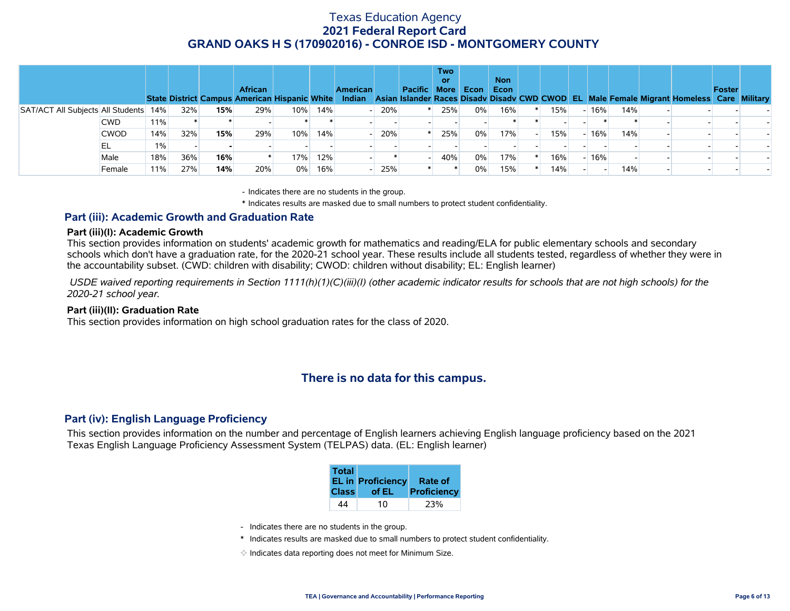|                                       |             |     |     |     | <b>African</b><br>State District Campus American Hispanic White |       |      | <b>American</b> |     | Pacific | <b>Two</b><br>or<br><b>More</b> | Econ  | <b>Non</b><br>Econ |     |        |     | Indian Asian Islander Races Disady Disady CWD CWOD EL Male Female Migrant Homeless Care Military | Foster |  |
|---------------------------------------|-------------|-----|-----|-----|-----------------------------------------------------------------|-------|------|-----------------|-----|---------|---------------------------------|-------|--------------------|-----|--------|-----|--------------------------------------------------------------------------------------------------|--------|--|
| SAT/ACT All Subjects All Students 14% |             |     | 32% | 15% | 29%                                                             | 10%   | 14%⊧ |                 | 20% |         | 25%                             | $0\%$ | 16%                | 15% | $-16%$ | 14% |                                                                                                  |        |  |
|                                       | CWD         | 11% |     |     |                                                                 |       |      |                 |     |         |                                 |       |                    |     |        |     |                                                                                                  |        |  |
|                                       | <b>CWOD</b> | 14% | 32% | 15% | 29%                                                             | 10%   | 14%  |                 | 20% |         | 25%                             | 0%    | 17%                | 15% | $-16%$ | 14% |                                                                                                  |        |  |
|                                       | EL          | 1%  |     |     |                                                                 |       |      |                 |     |         |                                 |       |                    |     |        |     |                                                                                                  |        |  |
|                                       | Male        | 18% | 36% | 16% |                                                                 | 17%   | 12%  |                 |     |         | 40%                             | 0%    | 17%                | 16% | $-16%$ |     |                                                                                                  |        |  |
|                                       | Female      | 11% | 27% | 14% | 20%                                                             | $0\%$ | 16%  |                 | 25% |         |                                 | 0%    | 15%                | 14% |        | 14% |                                                                                                  |        |  |

- Indicates there are no students in the group.

\* Indicates results are masked due to small numbers to protect student confidentiality.

#### **Part (iii): Academic Growth and Graduation Rate**

#### **Part (iii)(I): Academic Growth**

This section provides information on students' academic growth for mathematics and reading/ELA for public elementary schools and secondary schools which don't have a graduation rate, for the 2020-21 school year. These results include all students tested, regardless of whether they were in the accountability subset. (CWD: children with disability; CWOD: children without disability; EL: English learner)

 *USDE waived reporting requirements in Section 1111(h)(1)(C)(iii)(I) (other academic indicator results for schools that are not high schools) for the 2020-21 school year.*

#### **Part (iii)(II): Graduation Rate**

This section provides information on high school graduation rates for the class of 2020.

### **There is no data for this campus.**

#### **Part (iv): English Language Proficiency**

This section provides information on the number and percentage of English learners achieving English language proficiency based on the 2021 Texas English Language Proficiency Assessment System (TELPAS) data. (EL: English learner)

| <b>Total</b> | <b>EL in Proficiency</b> | Rate of     |
|--------------|--------------------------|-------------|
| <b>Class</b> | of EL                    | Proficiency |
| 44           | 10                       |             |

- Indicates there are no students in the group.
- \* Indicates results are masked due to small numbers to protect student confidentiality.
- $\diamond$  Indicates data reporting does not meet for Minimum Size.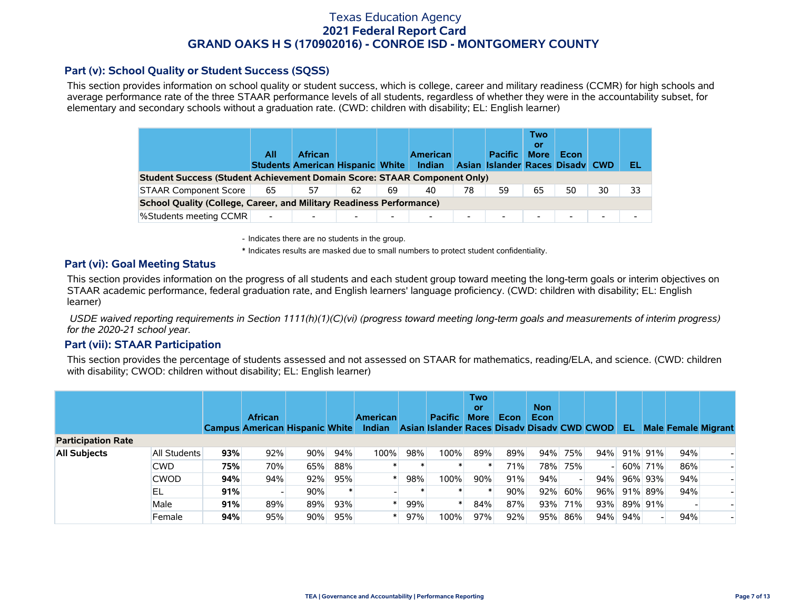### **Part (v): School Quality or Student Success (SQSS)**

This section provides information on school quality or student success, which is college, career and military readiness (CCMR) for high schools and average performance rate of the three STAAR performance levels of all students, regardless of whether they were in the accountability subset, for elementary and secondary schools without a graduation rate. (CWD: children with disability; EL: English learner)

|                                                                             | All                      | <b>African</b><br><b>Students American Hispanic White</b> |    |                          | <b>American</b><br>Indian |                          | <b>Pacific</b><br>Asian Islander Races Disady CWD | Two<br>0ľ<br><b>More</b> | Econ   |                          | EL |
|-----------------------------------------------------------------------------|--------------------------|-----------------------------------------------------------|----|--------------------------|---------------------------|--------------------------|---------------------------------------------------|--------------------------|--------|--------------------------|----|
| Student Success (Student Achievement Domain Score: STAAR Component Only)    |                          |                                                           |    |                          |                           |                          |                                                   |                          |        |                          |    |
| <b>STAAR Component Score</b>                                                | 65                       | 57                                                        | 62 | 69                       | 40                        | 78                       | 59                                                | 65                       | 50     | 30                       | 33 |
| <b>School Quality (College, Career, and Military Readiness Performance)</b> |                          |                                                           |    |                          |                           |                          |                                                   |                          |        |                          |    |
| <b>%Students meeting CCMR</b>                                               | $\overline{\phantom{a}}$ |                                                           |    | $\overline{\phantom{0}}$ | $\overline{\phantom{0}}$  | $\overline{\phantom{0}}$ | $\overline{\phantom{a}}$                          | $\overline{\phantom{0}}$ | $\sim$ | $\overline{\phantom{0}}$ |    |

- Indicates there are no students in the group.

\* Indicates results are masked due to small numbers to protect student confidentiality.

### **Part (vi): Goal Meeting Status**

This section provides information on the progress of all students and each student group toward meeting the long-term goals or interim objectives on STAAR academic performance, federal graduation rate, and English learners' language proficiency. (CWD: children with disability; EL: English learner)

 *USDE waived reporting requirements in Section 1111(h)(1)(C)(vi) (progress toward meeting long-term goals and measurements of interim progress) for the 2020-21 school year.*

### **Part (vii): STAAR Participation**

This section provides the percentage of students assessed and not assessed on STAAR for mathematics, reading/ELA, and science. (CWD: children with disability; CWOD: children without disability; EL: English learner)

|                           |              |     | <b>African</b><br><b>Campus American Hispanic White</b> |     |        | <b>American</b><br><b>Indian</b> |     | <b>Pacific</b><br>Asian Islander Races Disady Disady CWD CWOD | Two<br>or<br><b>More</b> | Econ | <b>Non</b><br>Econ |     |     | EL  |         |     | <b>Male Female Migrant</b> |
|---------------------------|--------------|-----|---------------------------------------------------------|-----|--------|----------------------------------|-----|---------------------------------------------------------------|--------------------------|------|--------------------|-----|-----|-----|---------|-----|----------------------------|
| <b>Participation Rate</b> |              |     |                                                         |     |        |                                  |     |                                                               |                          |      |                    |     |     |     |         |     |                            |
| <b>All Subjects</b>       | All Students | 93% | 92%                                                     | 90% | 94%    | 100%                             | 98% | 100%                                                          | 89%                      | 89%  | 94%                | 75% | 94% |     | 91% 91% | 94% |                            |
|                           | <b>CWD</b>   | 75% | 70%                                                     | 65% | 88%    |                                  |     |                                                               |                          | 71%  | 78%                | 75% |     |     | 60% 71% | 86% |                            |
|                           | <b>CWOD</b>  | 94% | 94%                                                     | 92% | 95%    |                                  | 98% | 100%                                                          | 90%                      | 91%  | 94%                |     | 94% | 96% | 93%     | 94% |                            |
|                           | 'EL          | 91% |                                                         | 90% | $\ast$ |                                  |     |                                                               |                          | 90%  | 92%                | 60% | 96% |     | 91% 89% | 94% |                            |
|                           | Male         | 91% | 89%                                                     | 89% | 93%    |                                  | 99% |                                                               | 84%                      | 87%  | 93%                | 71% | 93% |     | 89% 91% |     |                            |
|                           | Female       | 94% | 95%                                                     | 90% | 95%    |                                  | 97% | $00\%$                                                        | 97%                      | 92%  | 95%                | 86% | 94% | 94% |         | 94% |                            |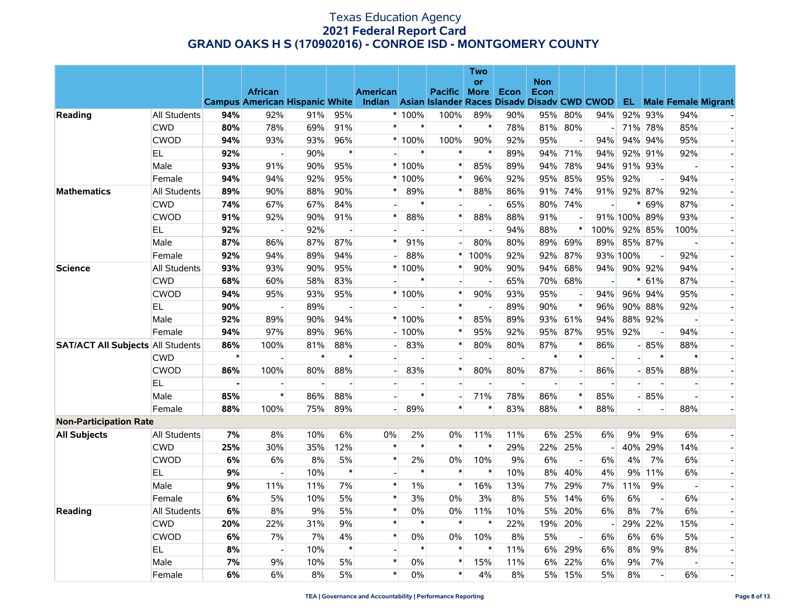|                                          |              |         |                                       |                |                          |                 |         |                                             | Two                      |                          |                    |                |                          |                          |                          |                |                               |
|------------------------------------------|--------------|---------|---------------------------------------|----------------|--------------------------|-----------------|---------|---------------------------------------------|--------------------------|--------------------------|--------------------|----------------|--------------------------|--------------------------|--------------------------|----------------|-------------------------------|
|                                          |              |         | <b>African</b>                        |                |                          | <b>American</b> |         | <b>Pacific</b>                              | <b>or</b><br><b>More</b> | Econ                     | <b>Non</b><br>Econ |                |                          |                          |                          |                |                               |
|                                          |              |         | <b>Campus American Hispanic White</b> |                |                          | <b>Indian</b>   |         | Asian Islander Races Disady Disady CWD CWOD |                          |                          |                    |                |                          |                          |                          |                | <b>EL</b> Male Female Migrant |
| Reading                                  | All Students | 94%     | 92%                                   | 91%            | 95%                      |                 | * 100%  | 100%                                        | 89%                      | 90%                      | 95%                | 80%            | 94%                      | 92%                      | 93%                      | 94%            |                               |
|                                          | <b>CWD</b>   | 80%     | 78%                                   | 69%            | 91%                      | $\ast$          | $\ast$  | $\pmb{\ast}$                                | $\ast$                   | 78%                      | 81%                | 80%            | $-1$                     |                          | 71% 78%                  | 85%            | $\overline{a}$                |
|                                          | <b>CWOD</b>  | 94%     | 93%                                   | 93%            | 96%                      |                 | $*100%$ | 100%                                        | 90%                      | 92%                      | 95%                |                | 94%                      | 94%                      | 94%                      | 95%            | $\overline{\phantom{a}}$      |
|                                          | EL.          | 92%     | $\overline{a}$                        | 90%            | $\ast$                   |                 | $\ast$  | $\ast$                                      | $\ast$                   | 89%                      | 94%                | 71%            | 94%                      |                          | 92% 91%                  | 92%            |                               |
|                                          | Male         | 93%     | 91%                                   | 90%            | 95%                      |                 | 100%    | $\ast$                                      | 85%                      | 89%                      | 94%                | 78%            | 94%                      |                          | 91% 93%                  |                |                               |
|                                          | Female       | 94%     | 94%                                   | 92%            | 95%                      | $\ast$          | 100%    | $\ast$                                      | 96%                      | 92%                      | 95%                | 85%            | 95%                      | 92%                      | $\overline{\phantom{a}}$ | 94%            | $\overline{\phantom{a}}$      |
| <b>Mathematics</b>                       | All Students | 89%     | 90%                                   | 88%            | 90%                      |                 | 89%     | $\ast$                                      | 88%                      | 86%                      | 91%                | 74%            | 91%                      |                          | 92% 87%                  | 92%            |                               |
|                                          | <b>CWD</b>   | 74%     | 67%                                   | 67%            | 84%                      |                 | $\ast$  | $\overline{a}$                              |                          | 65%                      | 80%                | 74%            |                          | $^{\ast}$                | 69%                      | 87%            |                               |
|                                          | <b>CWOD</b>  | 91%     | 92%                                   | 90%            | 91%                      | $\ast$          | 88%     | $\ast$                                      | 88%                      | 88%                      | 91%                |                |                          | 91% 100% 89%             |                          | 93%            | $\overline{\phantom{a}}$      |
|                                          | EL.          | 92%     | $\overline{\phantom{a}}$              | 92%            | $\overline{\phantom{a}}$ |                 |         | $\overline{\phantom{a}}$                    |                          | 94%                      | 88%                | $\ast$         | 100%                     |                          | 92% 85%                  | 100%           |                               |
|                                          | Male         | 87%     | 86%                                   | 87%            | 87%                      | $\ast$          | 91%     | $\overline{a}$                              | 80%                      | 80%                      | 89%                | 69%            | 89%                      |                          | 85% 87%                  |                |                               |
|                                          | Female       | 92%     | 94%                                   | 89%            | 94%                      |                 | 88%     | $\ast$                                      | 100%                     | 92%                      | 92%                | 87%            |                          | 93% 100%                 | $\overline{a}$           | 92%            |                               |
| <b>Science</b>                           | All Students | 93%     | 93%                                   | 90%            | 95%                      | $\ast$          | 100%    | $\ast$                                      | 90%                      | 90%                      | 94%                | 68%            | 94%                      |                          | 90% 92%                  | 94%            | $\overline{\phantom{a}}$      |
|                                          | <b>CWD</b>   | 68%     | 60%                                   | 58%            | 83%                      |                 | $\ast$  | $\overline{a}$                              |                          | 65%                      | 70%                | 68%            |                          | $^{\ast}$                | 61%                      | 87%            | $\overline{a}$                |
|                                          | <b>CWOD</b>  | 94%     | 95%                                   | 93%            | 95%                      |                 | 100%    | $\ast$                                      | 90%                      | 93%                      | 95%                |                | 94%                      |                          | 96% 94%                  | 95%            |                               |
|                                          | EL.          | 90%     |                                       | 89%            | $\overline{a}$           |                 |         | $\ast$                                      |                          | 89%                      | 90%                | $\ast$         | 96%                      |                          | 90% 88%                  | 92%            | $\overline{\phantom{a}}$      |
|                                          | Male         | 92%     | 89%                                   | 90%            | 94%                      |                 | $*100%$ | $\ast$                                      | 85%                      | 89%                      | 93%                | 61%            | 94%                      |                          | 88% 92%                  |                |                               |
|                                          | Female       | 94%     | 97%                                   | 89%            | 96%                      |                 | 100%    | $\ast$                                      | 95%                      | 92%                      | 95%                | 87%            | 95%                      | 92%                      | $\overline{\phantom{a}}$ | 94%            |                               |
| <b>SAT/ACT All Subjects All Students</b> |              | 86%     | 100%                                  | 81%            | 88%                      |                 | 83%     | $\ast$                                      | 80%                      | 80%                      | 87%                | $\ast$         | 86%                      |                          | $-85%$                   | 88%            | $\overline{\phantom{a}}$      |
|                                          | <b>CWD</b>   | $\star$ | $\overline{\phantom{a}}$              | $\ast$         | $\ast$                   |                 |         | $\blacksquare$                              | $\overline{\phantom{a}}$ | $\overline{\phantom{a}}$ | $\ast$             | $\ast$         | $\overline{\phantom{a}}$ | $\overline{a}$           | $\ast$                   | $\ast$         | $\overline{\phantom{a}}$      |
|                                          | <b>CWOD</b>  | 86%     | 100%                                  | 80%            | 88%                      |                 | 83%     | $\ast$                                      | 80%                      | 80%                      | 87%                | $\overline{a}$ | 86%                      |                          | $-85%$                   | 88%            |                               |
|                                          | EL           |         |                                       | $\overline{a}$ |                          |                 |         | $\overline{\phantom{a}}$                    |                          | $\overline{a}$           | $\overline{a}$     |                |                          |                          |                          |                | $\overline{a}$                |
|                                          | Male         | 85%     | $\pmb{\ast}$                          | 86%            | 88%                      |                 | $\ast$  | $\overline{a}$                              | 71%                      | 78%                      | 86%                | $\ast$         | 85%                      |                          | $-85%$                   | $\overline{a}$ | $\overline{a}$                |
|                                          | Female       | 88%     | 100%                                  | 75%            | 89%                      |                 | 89%     | $\pmb{\ast}$                                | $\ast$                   | 83%                      | 88%                | $\ast$         | 88%                      | $\overline{\phantom{0}}$ | $\overline{\phantom{a}}$ | 88%            |                               |
| <b>Non-Participation Rate</b>            |              |         |                                       |                |                          |                 |         |                                             |                          |                          |                    |                |                          |                          |                          |                |                               |
| <b>All Subjects</b>                      | All Students | 7%      | 8%                                    | 10%            | 6%                       | 0%              | 2%      | 0%                                          | 11%                      | 11%                      | 6%                 | 25%            | 6%                       | 9%                       | 9%                       | 6%             | $\overline{\phantom{a}}$      |
|                                          | <b>CWD</b>   | 25%     | 30%                                   | 35%            | 12%                      | $\ast$          | $\ast$  | $\ast$                                      | $\ast$                   | 29%                      | 22%                | 25%            |                          |                          | 40% 29%                  | 14%            |                               |
|                                          | <b>CWOD</b>  | 6%      | 6%                                    | 8%             | 5%                       | $\ast$          | 2%      | 0%                                          | 10%                      | 9%                       | 6%                 |                | 6%                       | 4%                       | 7%                       | 6%             |                               |
|                                          | EL.          | 9%      |                                       | 10%            | $\ast$                   |                 | $\ast$  | $\ast$                                      | $\ast$                   | 10%                      | 8%                 | 40%            | 4%                       | 9%                       | 11%                      | 6%             |                               |
|                                          | Male         | 9%      | 11%                                   | 11%            | 7%                       | $\ast$          | $1\%$   | $\ast$                                      | 16%                      | 13%                      | 7%                 | 29%            | 7%                       | 11%                      | 9%                       | $\blacksquare$ | $\overline{\phantom{a}}$      |
|                                          | Female       | 6%      | 5%                                    | 10%            | 5%                       | $\ast$          | 3%      | 0%                                          | 3%                       | 8%                       | 5%                 | 14%            | 6%                       | 6%                       | $\overline{\phantom{a}}$ | 6%             | $\overline{a}$                |
| Reading                                  | All Students | 6%      | $8\%$                                 | 9%             | 5%                       | $\ast$          | 0%      | 0%                                          | 11%                      | 10%                      | 5%                 | 20%            | 6%                       | 8%                       | 7%                       | 6%             |                               |
|                                          | <b>CWD</b>   | 20%     | 22%                                   | 31%            | 9%                       | $\ast$          | $\ast$  | $\ast$                                      | $\ast$                   | 22%                      | 19%                | 20%            |                          | 29%                      | 22%                      | 15%            | $\overline{\phantom{a}}$      |
|                                          | <b>CWOD</b>  | 6%      | 7%                                    | 7%             | 4%                       | $\ast$          | 0%      | 0%                                          | 10%                      | 8%                       | 5%                 |                | 6%                       | 6%                       | 6%                       | 5%             |                               |
|                                          | <b>EL</b>    | 8%      | $\overline{a}$                        | 10%            | $\ast$                   |                 | $\ast$  | $\ast$                                      | $\ast$                   | 11%                      | 6%                 | 29%            | 6%                       | 8%                       | 9%                       | 8%             |                               |
|                                          | Male         | 7%      | 9%                                    | 10%            | 5%                       | $\ast$          | $0\%$   | $\ast$                                      | 15%                      | 11%                      | 6%                 | 22%            | 6%                       | 9%                       | 7%                       | $\overline{a}$ | $\blacksquare$                |
|                                          | Female       | 6%      | 6%                                    | 8%             | 5%                       | $\ast$          | $0\%$   | $\ast$                                      | 4%                       | 8%                       | 5%                 | 15%            | 5%                       | 8%                       | $\sim$                   | 6%             | $\blacksquare$                |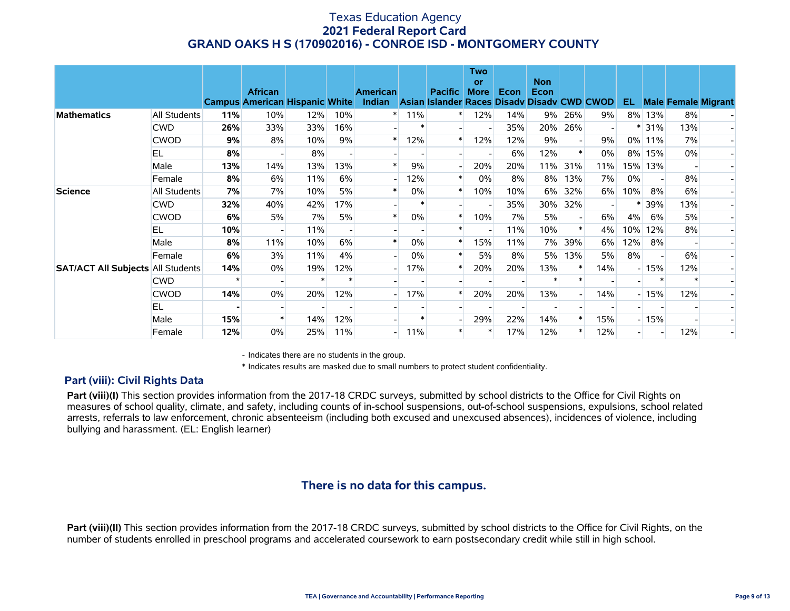|                                          |                     |     | <b>African</b><br><b>Campus American Hispanic White</b> |     |        | <b>American</b><br>Indian |        | <b>Pacific</b><br>Asian Islander | Two<br>or<br><b>More</b> | Econ | <b>Non</b><br>Econ<br><b>Races Disady Disady CWD CWOD</b> |     |     | EL.    |         |       | <b>Male Female Migrant</b> |
|------------------------------------------|---------------------|-----|---------------------------------------------------------|-----|--------|---------------------------|--------|----------------------------------|--------------------------|------|-----------------------------------------------------------|-----|-----|--------|---------|-------|----------------------------|
| <b>Mathematics</b>                       | <b>All Students</b> | 11% | 10%                                                     | 12% | 10%    | $\ast$                    | 11%    | $\ast$                           | 12%                      | 14%  | $9\%$                                                     | 26% | 9%  |        | 8% 13%  | 8%    |                            |
|                                          | <b>CWD</b>          | 26% | 33%                                                     | 33% | 16%    |                           |        |                                  |                          | 35%  | 20%                                                       | 26% |     | $\ast$ | 31%     | 13%   |                            |
|                                          | <b>CWOD</b>         | 9%  | 8%                                                      | 10% | 9%     | $\ast$                    | 12%    | $\ast$                           | 12%                      | 12%  | 9%                                                        |     | 9%  |        | 0% 11%  | 7%    |                            |
|                                          | EL.                 | 8%  |                                                         | 8%  |        |                           |        |                                  |                          | 6%   | 12%                                                       |     | 0%  | 8%     | 15%     | $0\%$ |                            |
|                                          | Male                | 13% | 14%                                                     | 13% | 13%    |                           | 9%     |                                  | 20%                      | 20%  | 11%                                                       | 31% | 11% |        | 15% 13% |       |                            |
|                                          | Female              | 8%  | 6%                                                      | 11% | 6%     |                           | 12%    | $\ast$                           | $0\%$                    | 8%   | 8%                                                        | 13% | 7%  | 0%     |         | 8%    |                            |
| <b>Science</b>                           | All Students        | 7%  | 7%                                                      | 10% | 5%     |                           | 0%     | $\ast$                           | 10%                      | 10%  | 6%                                                        | 32% | 6%  | 10%    | 8%      | 6%    |                            |
|                                          | <b>CWD</b>          | 32% | 40%                                                     | 42% | 17%    |                           | $\ast$ |                                  |                          | 35%  | 30%                                                       | 32% |     |        | 39%     | 13%   |                            |
|                                          | <b>CWOD</b>         | 6%  | 5%                                                      | 7%  | 5%     |                           | $0\%$  | $\ast$                           | 10%                      | 7%   | 5%                                                        |     | 6%  | 4%     | 6%      | 5%    |                            |
|                                          | EL.                 | 10% |                                                         | 11% |        |                           |        |                                  |                          | 11%  | 10%                                                       |     | 4%  | 10%    | 12%     | 8%    |                            |
|                                          | Male                | 8%  | 11%                                                     | 10% | 6%     |                           | 0%     | $\ast$                           | 15%                      | 11%  | 7%                                                        | 39% | 6%  | 12%    | 8%      |       |                            |
|                                          | Female              | 6%  | 3%                                                      | 11% | 4%     |                           | 0%     |                                  | 5%                       | 8%   | 5%                                                        | 13% | 5%  | 8%     |         | 6%    |                            |
| <b>SAT/ACT All Subjects All Students</b> |                     | 14% | $0\%$                                                   | 19% | 12%    |                           | 17%    | $\ast$                           | 20%                      | 20%  | 13%                                                       |     | 14% |        | $-15%$  | 12%   |                            |
|                                          | <b>CWD</b>          |     |                                                         |     | $\ast$ |                           |        |                                  |                          |      |                                                           |     |     |        |         |       |                            |
|                                          | <b>CWOD</b>         | 14% | 0%                                                      | 20% | 12%    |                           | 17%    | $\ast$                           | 20%                      | 20%  | 13%                                                       |     | 14% |        | $-15%$  | 12%   |                            |
|                                          | EL.                 |     |                                                         |     |        |                           |        |                                  |                          |      |                                                           |     |     |        |         |       |                            |
|                                          | Male                | 15% |                                                         | 14% | 12%    |                           |        |                                  | 29%                      | 22%  | 14%                                                       |     | 15% |        | $-15%$  |       |                            |
|                                          | Female              | 12% | $0\%$                                                   | 25% | 11%    |                           | 11%    | $\ast$                           |                          | 17%  | 12%                                                       |     | 12% |        |         | 12%   |                            |

- Indicates there are no students in the group.

\* Indicates results are masked due to small numbers to protect student confidentiality.

### **Part (viii): Civil Rights Data**

Part (viii)(I) This section provides information from the 2017-18 CRDC surveys, submitted by school districts to the Office for Civil Rights on measures of school quality, climate, and safety, including counts of in-school suspensions, out-of-school suspensions, expulsions, school related arrests, referrals to law enforcement, chronic absenteeism (including both excused and unexcused absences), incidences of violence, including bullying and harassment. (EL: English learner)

# **There is no data for this campus.**

**Part (viii)(II)** This section provides information from the 2017-18 CRDC surveys, submitted by school districts to the Office for Civil Rights, on the number of students enrolled in preschool programs and accelerated coursework to earn postsecondary credit while still in high school.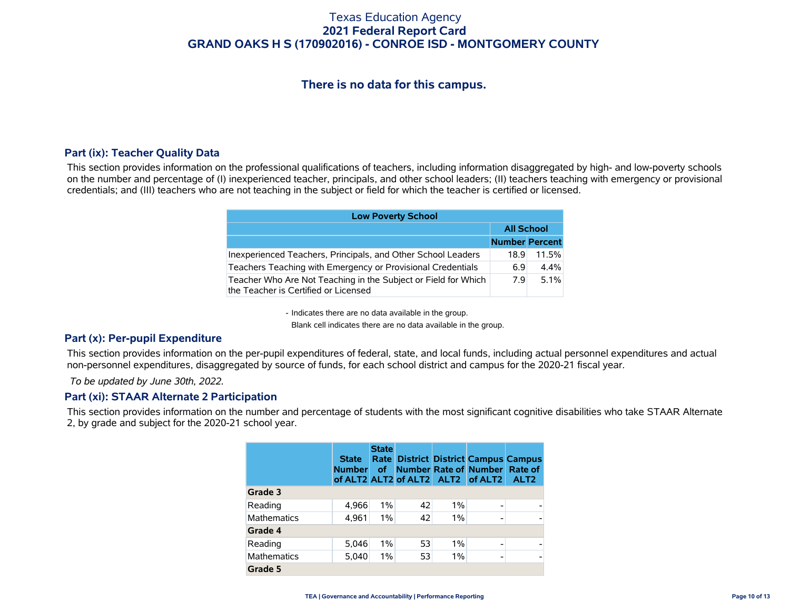# **There is no data for this campus.**

### **Part (ix): Teacher Quality Data**

This section provides information on the professional qualifications of teachers, including information disaggregated by high- and low-poverty schools on the number and percentage of (I) inexperienced teacher, principals, and other school leaders; (II) teachers teaching with emergency or provisional credentials; and (III) teachers who are not teaching in the subject or field for which the teacher is certified or licensed.

| <b>Low Poverty School</b>                                                                              |                       |       |
|--------------------------------------------------------------------------------------------------------|-----------------------|-------|
|                                                                                                        | <b>All School</b>     |       |
|                                                                                                        | <b>Number Percent</b> |       |
| Inexperienced Teachers, Principals, and Other School Leaders                                           | 18.9                  | 11.5% |
| Teachers Teaching with Emergency or Provisional Credentials                                            | 6.9                   | 4.4%  |
| Teacher Who Are Not Teaching in the Subject or Field for Which<br>the Teacher is Certified or Licensed | 79                    | 5.1%  |

- Indicates there are no data available in the group.

Blank cell indicates there are no data available in the group.

### **Part (x): Per-pupil Expenditure**

This section provides information on the per-pupil expenditures of federal, state, and local funds, including actual personnel expenditures and actual non-personnel expenditures, disaggregated by source of funds, for each school district and campus for the 2020-21 fiscal year.

 *To be updated by June 30th, 2022.*

#### **Part (xi): STAAR Alternate 2 Participation**

This section provides information on the number and percentage of students with the most significant cognitive disabilities who take STAAR Alternate 2, by grade and subject for the 2020-21 school year.

|                    | <b>State</b><br><b>Number</b> | <b>State</b><br>Rate  <br><b>of</b> |    |       | <b>District District Campus Campus</b><br>Number Rate of Number Rate of<br>of ALT2 ALT2 of ALT2 ALT2 of ALT2 | ALT <sub>2</sub> |
|--------------------|-------------------------------|-------------------------------------|----|-------|--------------------------------------------------------------------------------------------------------------|------------------|
| Grade 3            |                               |                                     |    |       |                                                                                                              |                  |
| Reading            | 4,966                         | $1\%$                               | 42 | $1\%$ | $\overline{\phantom{0}}$                                                                                     |                  |
| <b>Mathematics</b> | 4,961                         | 1%                                  | 42 | $1\%$ |                                                                                                              |                  |
| Grade 4            |                               |                                     |    |       |                                                                                                              |                  |
| Reading            | 5,046                         | $1\%$                               | 53 | $1\%$ |                                                                                                              |                  |
| <b>Mathematics</b> | 5,040                         | $1\%$                               | 53 | $1\%$ | $\overline{\phantom{0}}$                                                                                     |                  |
| Grade 5            |                               |                                     |    |       |                                                                                                              |                  |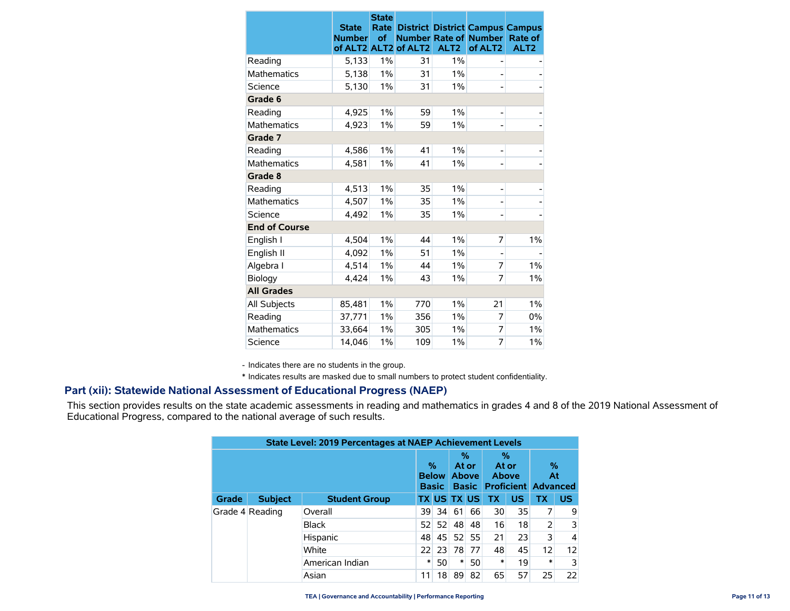|                      | <b>State</b><br><b>Number</b><br>of ALT2 ALT2 | <b>State</b><br>Rate<br>of | of ALT2 | ALT <sub>2</sub> | <b>Number Rate of Number</b><br>of ALT <sub>2</sub> | <b>District District Campus Campus</b><br>Rate of<br>ALT <sub>2</sub> |
|----------------------|-----------------------------------------------|----------------------------|---------|------------------|-----------------------------------------------------|-----------------------------------------------------------------------|
| Reading              | 5,133                                         | 1%                         | 31      | 1%               |                                                     |                                                                       |
| <b>Mathematics</b>   | 5,138                                         | 1%                         | 31      | 1%               |                                                     |                                                                       |
| Science              | 5,130                                         | $1\%$                      | 31      | 1%               |                                                     |                                                                       |
| Grade 6              |                                               |                            |         |                  |                                                     |                                                                       |
| Reading              | 4,925                                         | $1\%$                      | 59      | 1%               | -                                                   |                                                                       |
| <b>Mathematics</b>   | 4.923                                         | $1\%$                      | 59      | $1\%$            |                                                     |                                                                       |
| Grade 7              |                                               |                            |         |                  |                                                     |                                                                       |
| Reading              | 4,586                                         | $1\%$                      | 41      | 1%               | -                                                   |                                                                       |
| <b>Mathematics</b>   | 4,581                                         | 1%                         | 41      | 1%               |                                                     |                                                                       |
| Grade 8              |                                               |                            |         |                  |                                                     |                                                                       |
| Reading              | 4,513                                         | 1%                         | 35      | $1\%$            |                                                     |                                                                       |
| <b>Mathematics</b>   | 4,507                                         | $1\%$                      | 35      | 1%               |                                                     |                                                                       |
| Science              | 4.492                                         | 1%                         | 35      | 1%               | -                                                   |                                                                       |
| <b>End of Course</b> |                                               |                            |         |                  |                                                     |                                                                       |
| English I            | 4,504                                         | 1%                         | 44      | 1%               | 7                                                   | $1\%$                                                                 |
| English II           | 4,092                                         | 1%                         | 51      | 1%               |                                                     |                                                                       |
| Algebra I            | 4,514                                         | 1%                         | 44      | 1%               | 7                                                   | 1%                                                                    |
| Biology              | 4,424                                         | $1\%$                      | 43      | $1\%$            | 7                                                   | 1%                                                                    |
| <b>All Grades</b>    |                                               |                            |         |                  |                                                     |                                                                       |
| All Subjects         | 85,481                                        | 1%                         | 770     | 1%               | 21                                                  | $1\%$                                                                 |
| Reading              | 37,771                                        | 1%                         | 356     | 1%               | 7                                                   | 0%                                                                    |
| <b>Mathematics</b>   | 33,664                                        | 1%                         | 305     | 1%               | 7                                                   | 1%                                                                    |
| Science              | 14,046                                        | 1%                         | 109     | 1%               | 7                                                   | $1\%$                                                                 |

- Indicates there are no students in the group.

\* Indicates results are masked due to small numbers to protect student confidentiality.

### **Part (xii): Statewide National Assessment of Educational Progress (NAEP)**

This section provides results on the state academic assessments in reading and mathematics in grades 4 and 8 of the 2019 National Assessment of Educational Progress, compared to the national average of such results.

| <b>State Level: 2019 Percentages at NAEP Achievement Levels</b> |                |                      |       |                                   |        |                                            |           |                                                   |        |                |                   |
|-----------------------------------------------------------------|----------------|----------------------|-------|-----------------------------------|--------|--------------------------------------------|-----------|---------------------------------------------------|--------|----------------|-------------------|
|                                                                 |                |                      |       | %<br><b>Below</b><br><b>Basic</b> |        | %<br>At or<br><b>Above</b><br><b>Basic</b> |           | %<br>At or<br>Above<br><b>Proficient Advanced</b> |        | %<br>At        |                   |
| <b>Grade</b>                                                    | <b>Subject</b> | <b>Student Group</b> |       | <b>TX US TX US</b>                |        |                                            | <b>TX</b> | <b>US</b>                                         | ТX     | <b>US</b>      |                   |
| Grade 4 Reading                                                 |                | Overall              | 39    | -34                               | 61     | 66                                         | 30        | 35                                                |        | 9              |                   |
|                                                                 |                | Black                | 52    | 52                                | 48     | 48                                         | 16        | 18                                                |        | 3              |                   |
|                                                                 |                | Hispanic             | 48    | 45                                | 52     | 55                                         | 21        | 23                                                | 3      | $\overline{4}$ |                   |
|                                                                 |                |                      | White | 22                                | 23     | 78                                         | 77        | 48                                                | 45     | 12             | $12 \overline{ }$ |
|                                                                 |                | American Indian      | *     | 50                                | $\ast$ | 50                                         | *         | 19                                                | $\ast$ | $\overline{3}$ |                   |
|                                                                 |                | Asian                | 11    | 18                                | 89     | 82                                         | 65        | 57                                                | 25     | 22             |                   |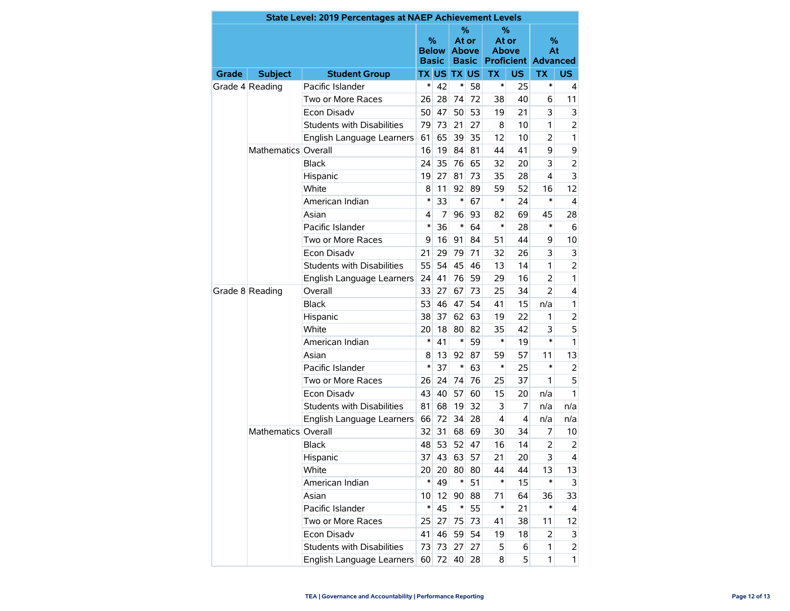| State Level: 2019 Percentages at NAEP Achievement Levels |                     |                                         |                 |       |                                                        |    |                                                          |           |                |                |  |
|----------------------------------------------------------|---------------------|-----------------------------------------|-----------------|-------|--------------------------------------------------------|----|----------------------------------------------------------|-----------|----------------|----------------|--|
|                                                          |                     |                                         |                 |       | $\%$<br>At or<br>Below<br><b>Above</b><br><b>Basic</b> |    | %<br>At or<br><b>Above</b><br><b>Proficient Advanced</b> |           | %<br>At        |                |  |
| <b>Grade</b>                                             | <b>Subject</b>      | <b>Student Group</b>                    |                 |       | <b>TX US TX US</b>                                     |    | <b>TX</b>                                                | <b>US</b> | <b>TX</b>      | US.            |  |
|                                                          | Grade 4 Reading     | Pacific Islander                        | $\ast$          | 42    | $\ast$                                                 | 58 | $\ast$                                                   | 25        | *              | 4              |  |
|                                                          |                     | Two or More Races                       | 26              | 28    | 74                                                     | 72 | 38                                                       | 40        | 6              | 11             |  |
|                                                          |                     | Econ Disadv                             | 50              | 47    | 50                                                     | 53 | 19                                                       | 21        | 3              | 3              |  |
|                                                          |                     | <b>Students with Disabilities</b><br>79 |                 | 73    | 21                                                     | 27 | 8                                                        | 10        | 1              | $\overline{2}$ |  |
|                                                          |                     | English Language Learners               | 61              | 65    | 39                                                     | 35 | 12                                                       | 10        | $\overline{a}$ | $\mathbf{1}$   |  |
|                                                          | Mathematics Overall |                                         | 16              | 19    | 84                                                     | 81 | 44                                                       | 41        | 9              | 9              |  |
|                                                          |                     | <b>Black</b>                            | 24              | 35    | 76                                                     | 65 | 32                                                       | 20        | 3              | $\overline{2}$ |  |
|                                                          |                     | Hispanic                                | 19              | 27    | 81                                                     | 73 | 35                                                       | 28        | $\overline{4}$ | 3              |  |
|                                                          |                     | White                                   | 8               | 11    | 92                                                     | 89 | 59                                                       | 52        | 16             | 12             |  |
|                                                          |                     | American Indian                         | $\ast$          | 33    | $\ast$                                                 | 67 | *                                                        | 24        | $\ast$         | $\overline{4}$ |  |
|                                                          |                     | Asian                                   | 4               | 7     | 96                                                     | 93 | 82                                                       | 69        | 45             | 28             |  |
|                                                          |                     | Pacific Islander                        | $\ast$          | 36    | $\ast$                                                 | 64 | *                                                        | 28        | $\ast$         | 6              |  |
|                                                          |                     | Two or More Races                       |                 | 16    | 91                                                     | 84 | 51                                                       | 44        | 9              | 10             |  |
|                                                          |                     | Econ Disadv                             |                 | 29    | 79                                                     | 71 | 32                                                       | 26        | 3              | 3              |  |
|                                                          |                     | Students with Disabilities              | 55              | 54    | 45                                                     | 46 | 13                                                       | 14        | 1              | $\overline{2}$ |  |
|                                                          |                     | English Language Learners               | 24              | 41    | 76                                                     | 59 | 29                                                       | 16        | 2              | 1              |  |
|                                                          | Grade 8 Reading     | Overall                                 | 33              | 27    | 67                                                     | 73 | 25                                                       | 34        | $\overline{2}$ | 4              |  |
|                                                          |                     | <b>Black</b>                            | 53              | 46    | 47                                                     | 54 | 41                                                       | 15        | n/a            | 1              |  |
|                                                          |                     | Hispanic                                | 38              | 37    | 62                                                     | 63 | 19                                                       | 22        | 1              | 2              |  |
|                                                          |                     | White                                   | 20              | 18    | 80                                                     | 82 | 35                                                       | 42        | 3              | 5              |  |
|                                                          |                     | American Indian                         | $\ast$          | 41    | $\ast$                                                 | 59 | $\ast$                                                   | 19        | $\ast$         | $\mathbf{1}$   |  |
|                                                          |                     | Asian                                   | 8               | 13    | 92                                                     | 87 | 59                                                       | 57        | 11             | 13             |  |
|                                                          |                     | Pacific Islander                        | $\ast$          | 37    | $\ast$                                                 | 63 | *                                                        | 25        | $\ast$         | 2              |  |
|                                                          |                     | Two or More Races                       | 26              | 24    | 74                                                     | 76 | 25                                                       | 37        | 1              | 5              |  |
|                                                          |                     | Econ Disadv                             | 43              | 40    | 57                                                     | 60 | 15                                                       | 20        | n/a            | 1.             |  |
|                                                          |                     | <b>Students with Disabilities</b>       | 81              | 68    | 19                                                     | 32 | 3                                                        | 7         | n/a            | n/a            |  |
|                                                          |                     | English Language Learners               | 66              | 72    | 34                                                     | 28 | 4                                                        | 4         | n/a            | n/a            |  |
|                                                          | Mathematics Overall |                                         | 32              | 31    | 68                                                     | 69 | 30                                                       | 34        | 7              | 10             |  |
|                                                          |                     | <b>Black</b>                            | 48              | 53    | 52                                                     | 47 | 16                                                       | 14        | $\overline{2}$ | 2              |  |
|                                                          |                     | Hispanic                                | 37              | 43    | 63                                                     | 57 | 21                                                       | 20        | 3              | 4              |  |
|                                                          |                     | White                                   | 20 <sup>°</sup> | 20    | 80                                                     | 80 | 44                                                       | 44        | 13             | 13             |  |
|                                                          |                     | American Indian                         | $\ast$          | 49    | $\ast$                                                 | 51 | $\ast$                                                   | 15        | *              | 3              |  |
|                                                          |                     | Asian                                   | 10              | 12    | 90 <sup>°</sup>                                        | 88 | 71                                                       | 64        | 36             | 33             |  |
|                                                          |                     | Pacific Islander                        | $\ast$          | 45    | $\ast$                                                 | 55 | $\ast$                                                   | 21        | *              | 4              |  |
|                                                          |                     | Two or More Races                       | 25              | 27    | 75                                                     | 73 | 41                                                       | 38        | 11             | 12             |  |
|                                                          |                     | Econ Disadv                             | 41              | 46    | 59                                                     | 54 | 19                                                       | 18        | 2              | 3              |  |
|                                                          |                     | Students with Disabilities              | 73              | 73    | 27                                                     | 27 | 5                                                        | 6         | 1              | 2              |  |
|                                                          |                     | English Language Learners               |                 | 60 72 | 40                                                     | 28 | 8                                                        | 5         | 1              | $\mathbf{1}$   |  |